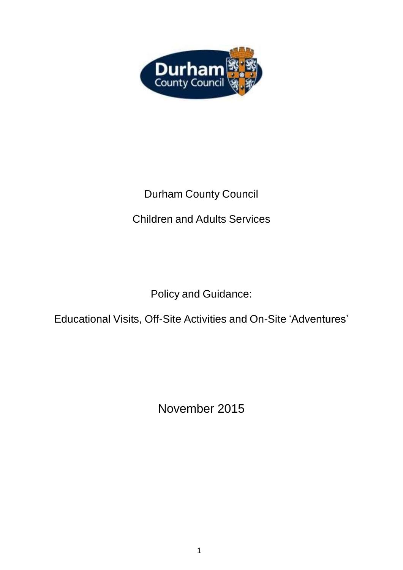

# Durham County Council

# Children and Adults Services

Policy and Guidance:

# Educational Visits, Off-Site Activities and On-Site 'Adventures'

November 2015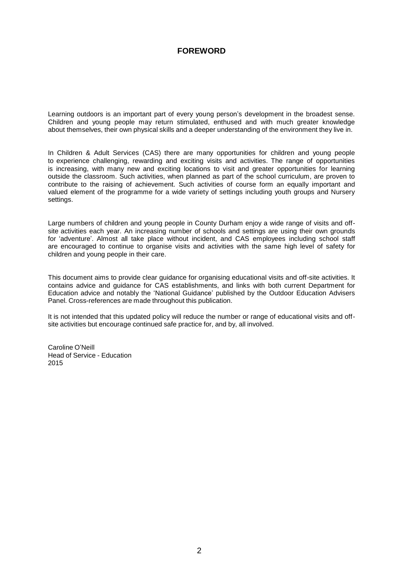### **FOREWORD**

Learning outdoors is an important part of every young person's development in the broadest sense. Children and young people may return stimulated, enthused and with much greater knowledge about themselves, their own physical skills and a deeper understanding of the environment they live in.

In Children & Adult Services (CAS) there are many opportunities for children and young people to experience challenging, rewarding and exciting visits and activities. The range of opportunities is increasing, with many new and exciting locations to visit and greater opportunities for learning outside the classroom. Such activities, when planned as part of the school curriculum, are proven to contribute to the raising of achievement. Such activities of course form an equally important and valued element of the programme for a wide variety of settings including youth groups and Nursery settings.

Large numbers of children and young people in County Durham enjoy a wide range of visits and offsite activities each year. An increasing number of schools and settings are using their own grounds for 'adventure'. Almost all take place without incident, and CAS employees including school staff are encouraged to continue to organise visits and activities with the same high level of safety for children and young people in their care.

This document aims to provide clear guidance for organising educational visits and off-site activities. It contains advice and guidance for CAS establishments, and links with both current Department for Education advice and notably the 'National Guidance' published by the Outdoor Education Advisers Panel. Cross-references are made throughout this publication.

It is not intended that this updated policy will reduce the number or range of educational visits and offsite activities but encourage continued safe practice for, and by, all involved.

Caroline O'Neill Head of Service - Education 2015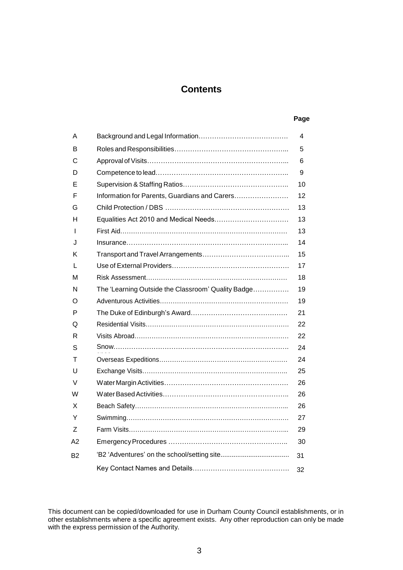### **Contents**

#### **Page**

| A              |                                                    | 4  |
|----------------|----------------------------------------------------|----|
| B              |                                                    | 5  |
| С              |                                                    | 6  |
| D              |                                                    | 9  |
| E              |                                                    | 10 |
| F              | Information for Parents, Guardians and Carers      | 12 |
| G              |                                                    | 13 |
| н              |                                                    | 13 |
| L              |                                                    | 13 |
| J              |                                                    | 14 |
| Κ              |                                                    | 15 |
| L              |                                                    | 17 |
| м              |                                                    | 18 |
| N              | The 'Learning Outside the Classroom' Quality Badge | 19 |
| O              |                                                    | 19 |
| P              |                                                    | 21 |
| Q              |                                                    | 22 |
| R              |                                                    | 22 |
| S              |                                                    | 24 |
| т              |                                                    | 24 |
| U              |                                                    | 25 |
| V              |                                                    | 26 |
| W              |                                                    | 26 |
| X              |                                                    | 26 |
| Y              |                                                    | 27 |
| Ζ              |                                                    | 29 |
| A2             |                                                    | 30 |
| B <sub>2</sub> |                                                    | 31 |
|                |                                                    | 32 |

This document can be copied/downloaded for use in Durham County Council establishments, or in other establishments where a specific agreement exists. Any other reproduction can only be made with the express permission of the Authority.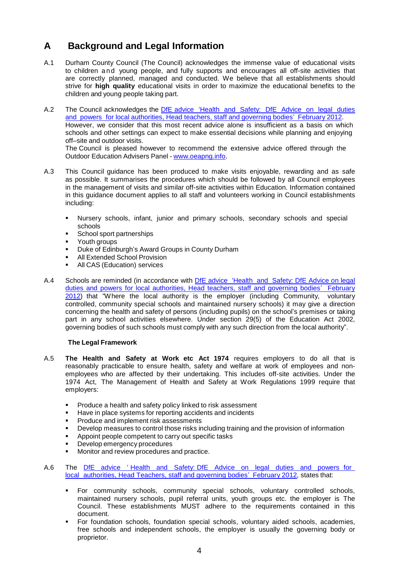# <span id="page-3-0"></span>**A Background and Legal Information**

- A.1 Durham County Council (The Council) acknowledges the immense value of educational visits to children and young people, and fully supports and encourages all off-site activities that are correctly planned, managed and conducted. We believe that all establishments should strive for **high quality** educational visits in order to maximize the educational benefits to the children and young people taking part.
- A.2 The Council acknowledges the DfE advice 'Health and Safety: DfE Advice on legal duties and powers for local [authorities, Head](http://media.education.gov.uk/assets/files/pdf/h/health%20and%20safety%20advice.pdf) teachers, staff and governing bodies' February 2012. However, we consider that this most recent advice alone is insufficient as a basis on which schools and other settings can expect to make essential decisions while planning and enjoying off–site and outdoor visits. The Council is pleased however to recommend the extensive advice offered through the Outdoor Education Advisers Panel - [www.oeapng.info.](http://www.oeapng.info/)
- A.3 This Council guidance has been produced to make visits enjoyable, rewarding and as safe as possible. It summarises the procedures which should be followed by all Council employees in the management of visits and similar off-site activities within Education. Information contained in this guidance document applies to all staff and volunteers working in Council establishments including:
	- Nursery schools, infant, junior and primary schools, secondary schools and special schools
	- **School sport partnerships**
	- Youth groups
	- Duke of Edinburgh's Award Groups in County Durham
	- All Extended School Provision
	- All CAS (Education) services
- A.4 Schools are reminded (in accordance with DfE advice 'Health and Safety: DfE Advice on legal duties and powers for local [authorities, Head teachers, staff and governing bodies'](http://media.education.gov.uk/assets/files/pdf/h/health%20and%20safety%20advice.pdf) February [2012\)](http://media.education.gov.uk/assets/files/pdf/h/health%20and%20safety%20advice.pdf) that "Where the local authority is the employer (including Community, voluntary controlled, community special schools and maintained nursery schools) it may give a direction concerning the health and safety of persons (including pupils) on the school's premises or taking part in any school activities elsewhere. Under section 29(5) of the Education Act 2002, governing bodies of such schools must comply with any such direction from the local authority".

#### **The Legal Framework**

- A.5 **The Health and Safety at Work etc Act 1974** requires employers to do all that is reasonably practicable to ensure health, safety and welfare at work of employees and nonemployees who are affected by their undertaking. This includes off-site activities. Under the 1974 Act, The Management of Health and Safety at Work Regulations 1999 require that employers:
	- Produce a health and safety policy linked to risk assessment
	- Have in place systems for reporting accidents and incidents
	- Produce and implement risk assessments
	- Develop measures to control those risks including training and the provision of information
	- Appoint people competent to carry out specific tasks
	- Develop emergency procedures
	- Monitor and review procedures and practice.
- A.6 The DfE advice ' Health and Safety: DfE Advice on legal duties and powers for local [authorities,](http://media.education.gov.uk/assets/files/pdf/h/health%20and%20safety%20advice.pdf) Head Teachers, staff and governing bodies' February 2012, states that:
	- For community schools, community special schools, voluntary controlled schools, maintained nursery schools, pupil referral units, youth groups etc. the employer is The Council. These establishments MUST adhere to the requirements contained in this document.
	- For foundation schools, foundation special schools, voluntary aided schools, academies, free schools and independent schools, the employer is usually the governing body or proprietor.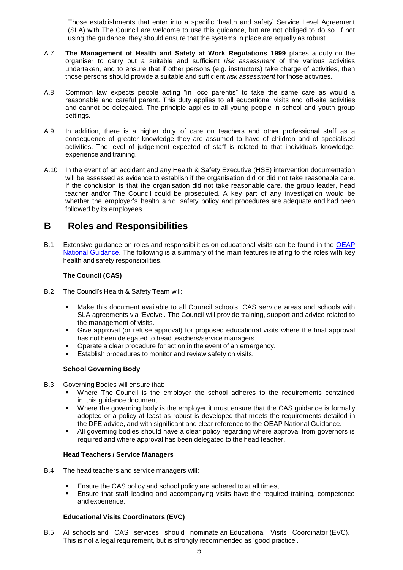Those establishments that enter into a specific 'health and safety' Service Level Agreement (SLA) with The Council are welcome to use this guidance, but are not obliged to do so. If not using the guidance, they should ensure that the systems in place are equally as robust.

- A.7 **The Management of Health and Safety at Work Regulations 1999** places a duty on the organiser to carry out a suitable and sufficient *risk assessment* of the various activities undertaken, and to ensure that if other persons (e.g. instructors) take charge of activities, then those persons should provide a suitable and sufficient *risk assessment* for those activities.
- A.8 Common law expects people acting "in loco parentis" to take the same care as would a reasonable and careful parent. This duty applies to all educational visits and off-site activities and cannot be delegated. The principle applies to all young people in school and youth group settings.
- A.9 In addition, there is a higher duty of care on teachers and other professional staff as a consequence of greater knowledge they are assumed to have of children and of specialised activities. The level of judgement expected of staff is related to that individuals knowledge, experience and training.
- A.10 In the event of an accident and any Health & Safety Executive (HSE) intervention documentation will be assessed as evidence to establish if the organisation did or did not take reasonable care. If the conclusion is that the organisation did not take reasonable care, the group leader, head teacher and/or The Council could be prosecuted. A key part of any investigation would be whether the employer's health and safety policy and procedures are adequate and had been followed by its employees.

### <span id="page-4-0"></span>**B Roles and Responsibilities**

B.1 Extensive quidance on roles and responsibilities on educational visits can be found in the [OEAP](http://oeapng.info/) National [Guidance.](http://oeapng.info/) The following is a summary of the main features relating to the roles with key health and safety responsibilities.

#### **The Council (CAS)**

- B.2 The Council's Health & Safety Team will:
	- Make this document available to all Council schools, CAS service areas and schools with SLA agreements via 'Evolve'. The Council will provide training, support and advice related to the management of visits.
	- Give approval (or refuse approval) for proposed educational visits where the final approval has not been delegated to head teachers/service managers.
	- Operate a clear procedure for action in the event of an emergency.
	- **Establish procedures to monitor and review safety on visits.**

#### **School Governing Body**

- B.3 Governing Bodies will ensure that:
	- Where The Council is the employer the school adheres to the requirements contained in this guidance document.
	- Where the governing body is the employer it must ensure that the CAS guidance is formally adopted or a policy at least as robust is developed that meets the requirements detailed in the DFE advice, and with significant and clear reference to the OEAP National Guidance.
	- All governing bodies should have a clear policy regarding where approval from governors is required and where approval has been delegated to the head teacher.

#### **Head Teachers / Service Managers**

- B.4 The head teachers and service managers will:
	- Ensure the CAS policy and school policy are adhered to at all times,
	- Ensure that staff leading and accompanying visits have the required training, competence and experience.

#### **Educational Visits Coordinators (EVC)**

B.5 All schools and CAS services should nominate an Educational Visits Coordinator (EVC). This is not a legal requirement, but is strongly recommended as 'good practice'.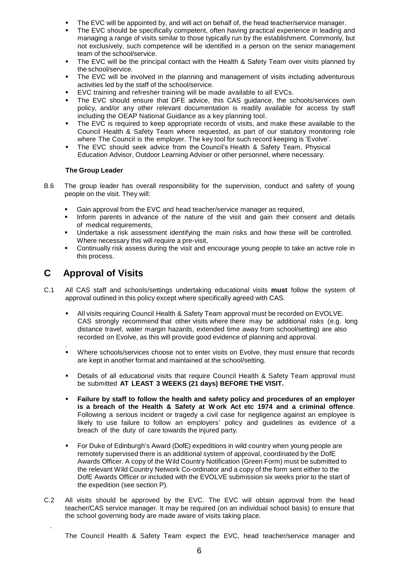- The EVC will be appointed by, and will act on behalf of, the head teacher/service manager.
- The EVC should be specifically competent, often having practical experience in leading and managing a range of visits similar to those typically run by the establishment. Commonly, but not exclusively, such competence will be identified in a person on the senior management team of the school/service.
- The EVC will be the principal contact with the Health & Safety Team over visits planned by the school/service.
- The EVC will be involved in the planning and management of visits including adventurous activities led by the staff of the school/service.
- EVC training and refresher training will be made available to all EVCs.
- The EVC should ensure that DFE advice, this CAS guidance, the schools/services own policy, and/or any other relevant documentation is readily available for access by staff including the OEAP National Guidance as a key planning tool.
- The EVC is required to keep appropriate records of visits, and make these available to the Council Health & Safety Team where requested, as part of our statutory monitoring role where The Council is the employer. The key tool for such record keeping is 'Evolve'.
- The EVC should seek advice from the Council's Health & Safety Team, Physical Education Advisor, Outdoor Learning Adviser or other personnel, where necessary.

#### **The Group Leader**

- B.6 The group leader has overall responsibility for the supervision, conduct and safety of young people on the visit. They will:
	- Gain approval from the EVC and head teacher/service manager as required,
	- Inform parents in advance of the nature of the visit and gain their consent and details of medical requirements,
	- Undertake a risk assessment identifying the main risks and how these will be controlled. Where necessary this will require a pre-visit,
	- Continually risk assess during the visit and encourage young people to take an active role in this process.

# <span id="page-5-0"></span>**C Approval of Visits**

.

- C.1 All CAS staff and schools/settings undertaking educational visits **must** follow the system of approval outlined in this policy except where specifically agreed with CAS.
	- All visits requiring Council Health & Safety Team approval must be recorded on EVOLVE. CAS strongly recommend that other visits where there may be additional risks (e.g. long distance travel, water margin hazards, extended time away from school/setting) are also recorded on Evolve, as this will provide good evidence of planning and approval.
	- . Where schools/services choose not to enter visits on Evolve, they must ensure that records are kept in another format and maintained at the school/setting.
	- Details of all educational visits that require Council Health & Safety Team approval must be submitted **AT LEAST 3 WEEKS (21 days) BEFORE THE VISIT.**
	- **Failure by staff to follow the health and safety policy and procedures of an employer is a breach of the Health & Safety at W ork Act etc 1974 and a criminal offence**. Following a serious incident or tragedy a civil case for negligence against an employee is likely to use failure to follow an employers' policy and guidelines as evidence of a breach of the duty of care towards the injured party.
	- For Duke of Edinburgh's Award (DofE) expeditions in wild country when young people are remotely supervised there is an additional system of approval, coordinated by the DofE Awards Officer. A copy of the Wild Country Notification (Green Form) must be submitted to the relevant Wild Country Network Co-ordinator and a copy of the form sent either to the DofE Awards Officer or included with the EVOLVE submission six weeks prior to the start of the expedition (see section P).
- C.2 All visits should be approved by the EVC. The EVC will obtain approval from the head teacher/CAS service manager. It may be required (on an individual school basis) to ensure that the school governing body are made aware of visits taking place.

The Council Health & Safety Team expect the EVC, head teacher/service manager and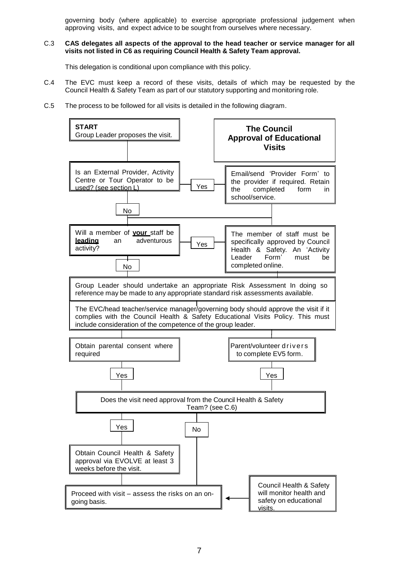governing body (where applicable) to exercise appropriate professional judgement when approving visits, and expect advice to be sought from ourselves where necessary.

#### C.3 **CAS delegates all aspects of the approval to the head teacher or service manager for all visits not listed in C6 as requiring Council Health & Safety Team approval.**

This delegation is conditional upon compliance with this policy.

- C.4 The EVC must keep a record of these visits, details of which may be requested by the Council Health & Safety Team as part of our statutory supporting and monitoring role.
- C.5 The process to be followed for all visits is detailed in the following diagram.

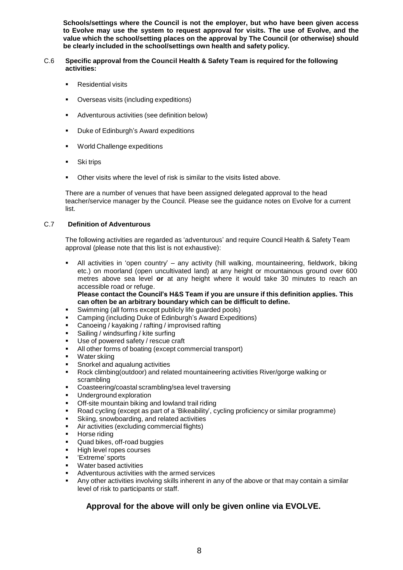**Schools/settings where the Council is not the employer, but who have been given access to Evolve may use the system to request approval for visits. The use of Evolve, and the value which the school/setting places on the approval by The Council (or otherwise) should be clearly included in the school/settings own health and safety policy.**

#### C.6 **Specific approval from the Council Health & Safety Team is required for the following activities:**

- Residential visits
- Overseas visits (including expeditions)
- Adventurous activities (see definition below)
- Duke of Edinburgh's Award expeditions
- World Challenge expeditions
- Ski trips
- Other visits where the level of risk is similar to the visits listed above.

There are a number of venues that have been assigned delegated approval to the head teacher/service manager by the Council. Please see the guidance notes on Evolve for a current list.

#### C.7 **Definition of Adventurous**

The following activities are regarded as 'adventurous' and require Council Health & Safety Team approval (please note that this list is not exhaustive):

 All activities in 'open country' – any activity (hill walking, mountaineering, fieldwork, biking etc.) on moorland (open uncultivated land) at any height or mountainous ground over 600 metres above sea level **or** at any height where it would take 30 minutes to reach an accessible road or refuge.

**Please contact the Council's H&S Team if you are unsure if this definition applies. This can often be an arbitrary boundary which can be difficult to define.**

- Swimming (all forms except publicly life guarded pools)
- Camping (including Duke of Edinburgh's Award Expeditions)
- Canoeing / kayaking / rafting / improvised rafting
- Sailing / windsurfing / kite surfing
- Use of powered safety / rescue craft
- All other forms of boating (except commercial transport)
- Water skiing
- Snorkel and aqualung activities
- Rock climbing(outdoor) and related mountaineering activities River/gorge walking or scrambling
- Coasteering/coastal scrambling/sea level traversing
- Underground exploration
- Off-site mountain biking and lowland trail riding
- Road cycling (except as part of a 'Bikeability', cycling proficiency or similar programme)
- Skiing, snowboarding, and related activities
- Air activities (excluding commercial flights)
- Horse riding
- Quad bikes, off-road buggies
- High level ropes courses
- 'Extreme' sports
- Water based activities
- Adventurous activities with the armed services
- Any other activities involving skills inherent in any of the above or that may contain a similar level of risk to participants or staff.

### **Approval for the above will only be given online via EVOLVE.**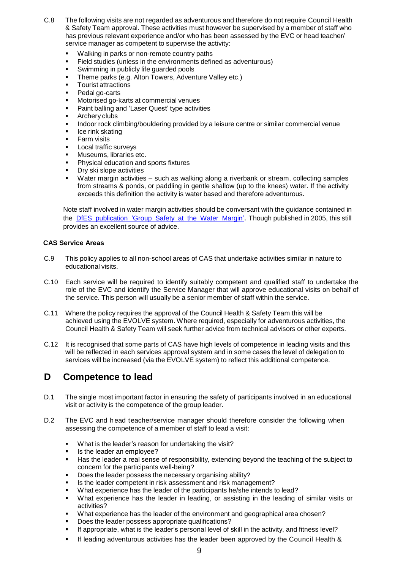- C.8 The following visits are not regarded as adventurous and therefore do not require Council Health & Safety Team approval. These activities must however be supervised by a member of staff who has previous relevant experience and/or who has been assessed by the EVC or head teacher/ service manager as competent to supervise the activity:
	- Walking in parks or non-remote country paths
	- Field studies (unless in the environments defined as adventurous)
	- Swimming in publicly life guarded pools
	- Theme parks (e.g. Alton Towers, Adventure Valley etc.)
	- Tourist attractions
	- Pedal go-carts
	- Motorised go-karts at commercial venues
	- Paint balling and 'Laser Quest' type activities
	- Archery clubs
	- Indoor rock climbing/bouldering provided by a leisure centre or similar commercial venue
	- Ice rink skating
	- Farm visits
	- Local traffic surveys
	- Museums, libraries etc.
	- Physical education and sports fixtures
	- Dry ski slope activities
	- Water margin activities such as walking along a riverbank or stream, collecting samples from streams & ponds, or paddling in gentle shallow (up to the knees) water. If the activity exceeds this definition the activity is water based and therefore adventurous.

Note staff involved in water margin activities should be conversant with the guidance contained in the DfES [publication](https://www.google.co.uk/search?hl=en-GB&source=hp&q=DfES+publication+%E2%80%98Group+Safety+at+the+Water+Margin%E2%80%99&gbv=2&oq=DfES+publication+%E2%80%98Group+Safety+at+the+Water+Margin%E2%80%99&gs_l=heirloom-hp.3...4040.4040.0.5023.1.1.0.0.0.0.63.63.1.1.0....0...1ac..34.heirloom-hp..1.0.0.N1u0w2DN04M) 'Group Safety at the Water Margin'. Though published in 2005, this still provides an excellent source of advice.

#### **CAS Service Areas**

- C.9 This policy applies to all non-school areas of CAS that undertake activities similar in nature to educational visits.
- C.10 Each service will be required to identify suitably competent and qualified staff to undertake the role of the EVC and identify the Service Manager that will approve educational visits on behalf of the service. This person will usually be a senior member of staff within the service.
- C.11 Where the policy requires the approval of the Council Health & Safety Team this will be achieved using the EVOLVE system. Where required, especially for adventurous activities, the Council Health & Safety Team will seek further advice from technical advisors or other experts.
- C.12 It is recognised that some parts of CAS have high levels of competence in leading visits and this will be reflected in each services approval system and in some cases the level of delegation to services will be increased (via the EVOLVE system) to reflect this additional competence.

# <span id="page-8-0"></span>**D Competence to lead**

- D.1 The single most important factor in ensuring the safety of participants involved in an educational visit or activity is the competence of the group leader.
- D.2 The EVC and head teacher/service manager should therefore consider the following when assessing the competence of a member of staff to lead a visit:
	- What is the leader's reason for undertaking the visit?
	- Is the leader an employee?
	- Has the leader a real sense of responsibility, extending beyond the teaching of the subject to concern for the participants well-being?
	- Does the leader possess the necessary organising ability?
	- Is the leader competent in risk assessment and risk management?
	- What experience has the leader of the participants he/she intends to lead?
	- What experience has the leader in leading, or assisting in the leading of similar visits or activities?
	- What experience has the leader of the environment and geographical area chosen?
	- Does the leader possess appropriate qualifications?
	- If appropriate, what is the leader's personal level of skill in the activity, and fitness level?
	- If leading adventurous activities has the leader been approved by the Council Health &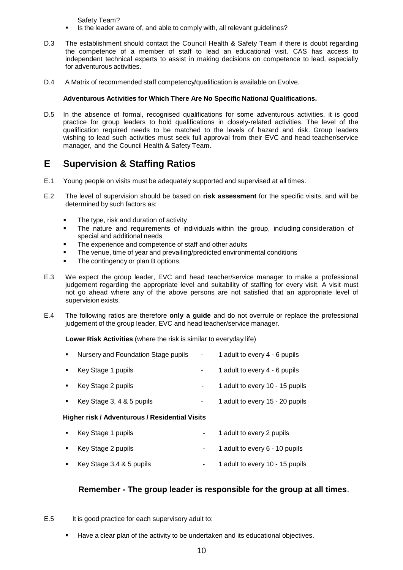Safety Team?

- Is the leader aware of, and able to comply with, all relevant guidelines?
- D.3 The establishment should contact the Council Health & Safety Team if there is doubt regarding the competence of a member of staff to lead an educational visit. CAS has access to independent technical experts to assist in making decisions on competence to lead, especially for adventurous activities.
- D.4 A Matrix of recommended staff competency/qualification is available on Evolve.

#### **Adventurous Activities for Which There Are No Specific National Qualifications.**

D.5 In the absence of formal, recognised qualifications for some adventurous activities, it is good practice for group leaders to hold qualifications in closely-related activities. The level of the qualification required needs to be matched to the levels of hazard and risk. Group leaders wishing to lead such activities must seek full approval from their EVC and head teacher/service manager, and the Council Health & Safety Team.

## <span id="page-9-0"></span>**E Supervision & Staffing Ratios**

- E.1 Young people on visits must be adequately supported and supervised at all times.
- E.2 The level of supervision should be based on **risk assessment** for the specific visits, and will be determined by such factors as:
	- The type, risk and duration of activity
	- The nature and requirements of individuals within the group, including consideration of special and additional needs
	- The experience and competence of staff and other adults
	- The venue, time of year and prevailing/predicted environmental conditions
	- The contingency or plan B options.
- E.3 We expect the group leader, EVC and head teacher/service manager to make a professional judgement regarding the appropriate level and suitability of staffing for every visit. A visit must not go ahead where any of the above persons are not satisfied that an appropriate level of supervision exists.
- E.4 The following ratios are therefore **only a guide** and do not overrule or replace the professional judgement of the group leader, EVC and head teacher/service manager.

**Lower Risk Activities** (where the risk is similar to everyday life)

| $\blacksquare$                                 | Nursery and Foundation Stage pupils | $\sim 100$ | 1 adult to every 4 - 6 pupils   |  |
|------------------------------------------------|-------------------------------------|------------|---------------------------------|--|
|                                                | Key Stage 1 pupils                  | ۰          | 1 adult to every 4 - 6 pupils   |  |
| $\blacksquare$                                 | Key Stage 2 pupils                  |            | 1 adult to every 10 - 15 pupils |  |
| $\blacksquare$                                 | Key Stage 3, 4 & 5 pupils           | ٠          | 1 adult to every 15 - 20 pupils |  |
| Higher risk / Adventurous / Residential Visits |                                     |            |                                 |  |
|                                                | Key Stage 1 pupils                  |            | 1 adult to every 2 pupils       |  |

- Key Stage 2 pupils **Accord 2 and 2 and 2 and 2 and 2 adult to every 6 10 pupils**
- Key Stage 3,4 & 5 pupils 1 adult to every 10 15 pupils

### **Remember - The group leader is responsible for the group at all times**.

- E.5 It is good practice for each supervisory adult to:
	- Have a clear plan of the activity to be undertaken and its educational objectives.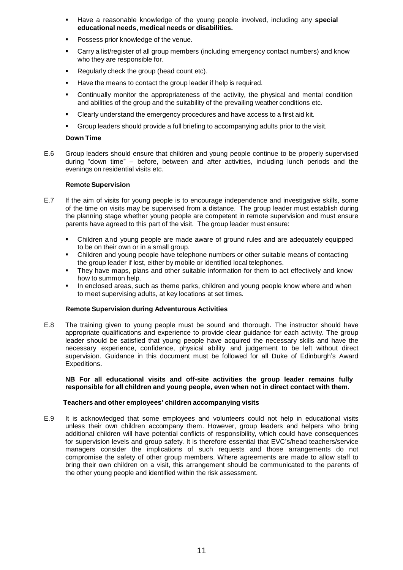- Have a reasonable knowledge of the young people involved, including any **special educational needs, medical needs or disabilities.**
- Possess prior knowledge of the venue.
- Carry a list/register of all group members (including emergency contact numbers) and know who they are responsible for.
- Regularly check the group (head count etc).
- Have the means to contact the group leader if help is required.
- Continually monitor the appropriateness of the activity, the physical and mental condition and abilities of the group and the suitability of the prevailing weather conditions etc.
- Clearly understand the emergency procedures and have access to a first aid kit.
- Group leaders should provide a full briefing to accompanying adults prior to the visit.

#### **Down Time**

E.6 Group leaders should ensure that children and young people continue to be properly supervised during "down time" – before, between and after activities, including lunch periods and the evenings on residential visits etc.

#### **Remote Supervision**

- E.7 If the aim of visits for young people is to encourage independence and investigative skills, some of the time on visits may be supervised from a distance. The group leader must establish during the planning stage whether young people are competent in remote supervision and must ensure parents have agreed to this part of the visit. The group leader must ensure:
	- Children and young people are made aware of ground rules and are adequately equipped to be on their own or in a small group.
	- Children and young people have telephone numbers or other suitable means of contacting the group leader if lost, either by mobile or identified local telephones.
	- They have maps, plans and other suitable information for them to act effectively and know how to summon help.
	- In enclosed areas, such as theme parks, children and young people know where and when to meet supervising adults, at key locations at set times.

#### **Remote Supervision during Adventurous Activities**

E.8 The training given to young people must be sound and thorough. The instructor should have appropriate qualifications and experience to provide clear guidance for each activity. The group leader should be satisfied that young people have acquired the necessary skills and have the necessary experience, confidence, physical ability and judgement to be left without direct supervision. Guidance in this document must be followed for all Duke of Edinburgh's Award Expeditions.

#### **NB For all educational visits and off-site activities the group leader remains fully responsible for all children and young people, even when not in direct contact with them.**

#### **Teachers and other employees' children accompanying visits**

E.9 It is acknowledged that some employees and volunteers could not help in educational visits unless their own children accompany them. However, group leaders and helpers who bring additional children will have potential conflicts of responsibility, which could have consequences for supervision levels and group safety. It is therefore essential that EVC's/head teachers/service managers consider the implications of such requests and those arrangements do not compromise the safety of other group members. Where agreements are made to allow staff to bring their own children on a visit, this arrangement should be communicated to the parents of the other young people and identified within the risk assessment.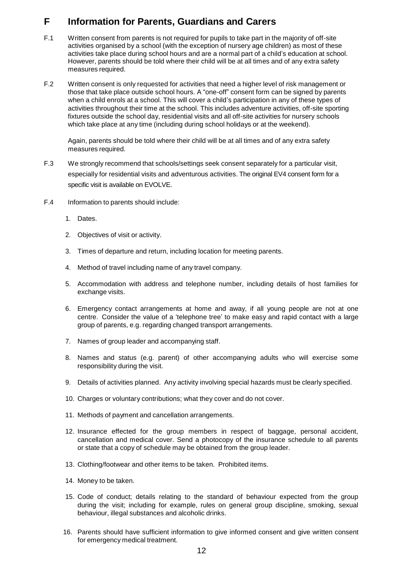# <span id="page-11-0"></span>**F Information for Parents, Guardians and Carers**

- F.1 Written consent from parents is not required for pupils to take part in the majority of off-site activities organised by a school (with the exception of nursery age children) as most of these activities take place during school hours and are a normal part of a child's education at school. However, parents should be told where their child will be at all times and of any extra safety measures required.
- F.2 Written consent is only requested for activities that need a higher level of risk management or those that take place outside school hours. A "one-off" consent form can be signed by parents when a child enrols at a school. This will cover a child's participation in any of these types of activities throughout their time at the school. This includes adventure activities, off-site sporting fixtures outside the school day, residential visits and all off-site activities for nursery schools which take place at any time (including during school holidays or at the weekend).

Again, parents should be told where their child will be at all times and of any extra safety measures required.

- F.3 We strongly recommend that schools/settings seek consent separately for a particular visit, especially for residential visits and adventurous activities. The original EV4 consent form for a specific visit is available on EVOLVE.
- F.4 Information to parents should include:
	- 1. Dates.
	- 2. Objectives of visit or activity.
	- 3. Times of departure and return, including location for meeting parents.
	- 4. Method of travel including name of any travel company.
	- 5. Accommodation with address and telephone number, including details of host families for exchange visits.
	- 6. Emergency contact arrangements at home and away, if all young people are not at one centre. Consider the value of a 'telephone tree' to make easy and rapid contact with a large group of parents, e.g. regarding changed transport arrangements.
	- 7. Names of group leader and accompanying staff.
	- 8. Names and status (e.g. parent) of other accompanying adults who will exercise some responsibility during the visit.
	- 9. Details of activities planned. Any activity involving special hazards must be clearly specified.
	- 10. Charges or voluntary contributions; what they cover and do not cover.
	- 11. Methods of payment and cancellation arrangements.
	- 12. Insurance effected for the group members in respect of baggage, personal accident, cancellation and medical cover. Send a photocopy of the insurance schedule to all parents or state that a copy of schedule may be obtained from the group leader.
	- 13. Clothing/footwear and other items to be taken. Prohibited items.
	- 14. Money to be taken.
	- 15. Code of conduct; details relating to the standard of behaviour expected from the group during the visit; including for example, rules on general group discipline, smoking, sexual behaviour, illegal substances and alcoholic drinks.
	- 16. Parents should have sufficient information to give informed consent and give written consent for emergency medical treatment.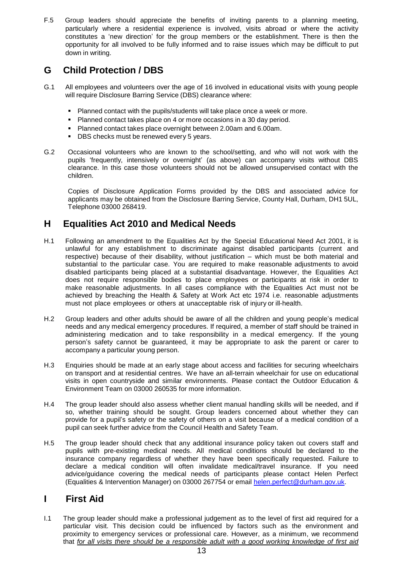F.5 Group leaders should appreciate the benefits of inviting parents to a planning meeting, particularly where a residential experience is involved, visits abroad or where the activity constitutes a 'new direction' for the group members or the establishment. There is then the opportunity for all involved to be fully informed and to raise issues which may be difficult to put down in writing.

# <span id="page-12-0"></span>**G Child Protection / DBS**

- G.1 All employees and volunteers over the age of 16 involved in educational visits with young people will require Disclosure Barring Service (DBS) clearance where:
	- **Planned contact with the pupils/students will take place once a week or more.**
	- Planned contact takes place on 4 or more occasions in a 30 day period.
	- Planned contact takes place overnight between 2.00am and 6.00am.
	- DBS checks must be renewed every 5 years.
- G.2 Occasional volunteers who are known to the school/setting, and who will not work with the pupils 'frequently, intensively or overnight' (as above) can accompany visits without DBS clearance. In this case those volunteers should not be allowed unsupervised contact with the children.

Copies of Disclosure Application Forms provided by the DBS and associated advice for applicants may be obtained from the Disclosure Barring Service, County Hall, Durham, DH1 5UL, Telephone 03000 268419.

## **H Equalities Act 2010 and Medical Needs**

- H.1 Following an amendment to the Equalities Act by the Special Educational Need Act 2001, it is unlawful for any establishment to discriminate against disabled participants (current and respective) because of their disability, without justification – which must be both material and substantial to the particular case. You are required to make reasonable adjustments to avoid disabled participants being placed at a substantial disadvantage. However, the Equalities Act does not require responsible bodies to place employees or participants at risk in order to make reasonable adjustments. In all cases compliance with the Equalities Act must not be achieved by breaching the Health & Safety at Work Act etc 1974 i.e. reasonable adjustments must not place employees or others at unacceptable risk of injury or ill-health.
- H.2 Group leaders and other adults should be aware of all the children and young people's medical needs and any medical emergency procedures. If required, a member of staff should be trained in administering medication and to take responsibility in a medical emergency. If the young person's safety cannot be guaranteed, it may be appropriate to ask the parent or carer to accompany a particular young person.
- H.3 Enquiries should be made at an early stage about access and facilities for securing wheelchairs on transport and at residential centres. We have an all-terrain wheelchair for use on educational visits in open countryside and similar environments. Please contact the Outdoor Education & Environment Team on 03000 260535 for more information.
- H.4 The group leader should also assess whether client manual handling skills will be needed, and if so, whether training should be sought. Group leaders concerned about whether they can provide for a pupil's safety or the safety of others on a visit because of a medical condition of a pupil can seek further advice from the Council Health and Safety Team.
- H.5 The group leader should check that any additional insurance policy taken out covers staff and pupils with pre-existing medical needs. All medical conditions should be declared to the insurance company regardless of whether they have been specifically requested. Failure to declare a medical condition will often invalidate medical/travel insurance. If you need advice/guidance covering the medical needs of participants please contact Helen Perfect (Equalities & Intervention Manager) on 03000 267754 or email [helen.perfect@durham.gov.uk.](mailto:helen.perfect@durham.gov.uk)

# <span id="page-12-1"></span>**I First Aid**

I.1 The group leader should make a professional judgement as to the level of first aid required for a particular visit. This decision could be influenced by factors such as the environment and proximity to emergency services or professional care. However, as a minimum, we recommend that *for all visits there should be a responsible adult with a good working knowledge of first aid*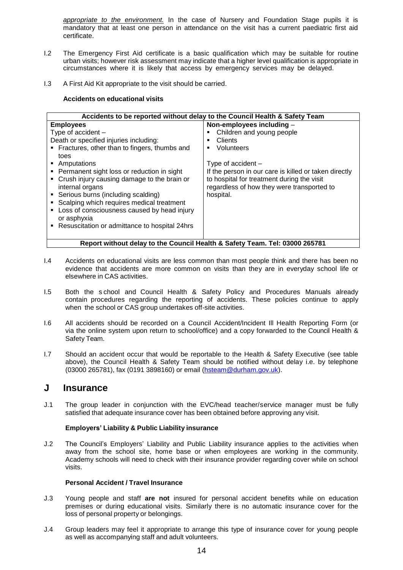*appropriate to the environment.* In the case of Nursery and Foundation Stage pupils it is mandatory that at least one person in attendance on the visit has a current paediatric first aid certificate.

- I.2 The Emergency First Aid certificate is a basic qualification which may be suitable for routine urban visits; however risk assessment may indicate that a higher level qualification is appropriate in circumstances where it is likely that access by emergency services may be delayed.
- I.3 A First Aid Kit appropriate to the visit should be carried.

#### **Accidents on educational visits**

| Accidents to be reported without delay to the Council Health & Safety Team                                                                                                                                                                                                                                                                                                                                                                                                                  |                                                                                                                                                                                                                                                                                            |  |  |
|---------------------------------------------------------------------------------------------------------------------------------------------------------------------------------------------------------------------------------------------------------------------------------------------------------------------------------------------------------------------------------------------------------------------------------------------------------------------------------------------|--------------------------------------------------------------------------------------------------------------------------------------------------------------------------------------------------------------------------------------------------------------------------------------------|--|--|
| <b>Employees</b><br>Type of accident $-$<br>Death or specified injuries including:<br>• Fractures, other than to fingers, thumbs and<br>toes<br>• Amputations<br>• Permanent sight loss or reduction in sight<br>• Crush injury causing damage to the brain or<br>internal organs<br>• Serious burns (including scalding)<br>• Scalping which requires medical treatment<br>• Loss of consciousness caused by head injury<br>or asphyxia<br>• Resuscitation or admittance to hospital 24hrs | Non-employees including -<br>Children and young people<br><b>Clients</b><br>п<br>Volunteers<br>٠<br>Type of accident $-$<br>If the person in our care is killed or taken directly<br>to hospital for treatment during the visit<br>regardless of how they were transported to<br>hospital. |  |  |
| Report without delay to the Council Health & Safety Team. Tel: 03000 265781                                                                                                                                                                                                                                                                                                                                                                                                                 |                                                                                                                                                                                                                                                                                            |  |  |

- I.4 Accidents on educational visits are less common than most people think and there has been no evidence that accidents are more common on visits than they are in everyday school life or elsewhere in CAS activities.
- I.5 Both the s chool and Council Health & Safety Policy and Procedures Manuals already contain procedures regarding the reporting of accidents. These policies continue to apply when the school or CAS group undertakes off-site activities.
- I.6 All accidents should be recorded on a Council Accident/Incident Ill Health Reporting Form (or via the online system upon return to school/office) and a copy forwarded to the Council Health & Safety Team.
- I.7 Should an accident occur that would be reportable to the Health & Safety Executive (see table above), the Council Health & Safety Team should be notified without delay i.e. by telephone (03000 265781), fax (0191 3898160) or email [\(hsteam@durham.gov.uk\)](mailto:hsteam@durham.gov.uk).

### <span id="page-13-0"></span>**J Insurance**

J.1 The group leader in conjunction with the EVC/head teacher/service manager must be fully satisfied that adequate insurance cover has been obtained before approving any visit.

#### **Employers' Liability & Public Liability insurance**

J.2 The Council's Employers' Liability and Public Liability insurance applies to the activities when away from the school site, home base or when employees are working in the community. Academy schools will need to check with their insurance provider regarding cover while on school visits.

#### **Personal Accident / Travel Insurance**

- J.3 Young people and staff **are not** insured for personal accident benefits while on education premises or during educational visits. Similarly there is no automatic insurance cover for the loss of personal property or belongings.
- J.4 Group leaders may feel it appropriate to arrange this type of insurance cover for young people as well as accompanying staff and adult volunteers.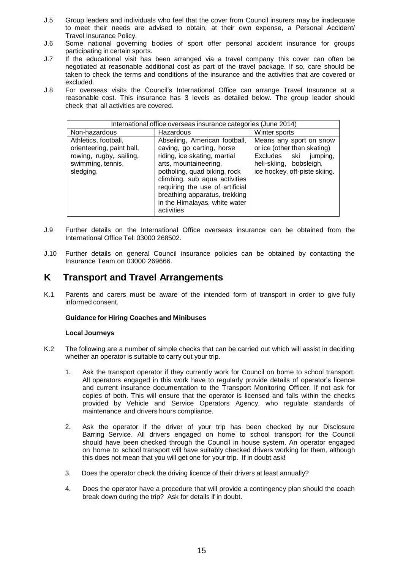- J.5 Group leaders and individuals who feel that the cover from Council insurers may be inadequate to meet their needs are advised to obtain, at their own expense, a Personal Accident/ Travel Insurance Policy.
- J.6 Some national governing bodies of sport offer personal accident insurance for groups participating in certain sports.
- J.7 If the educational visit has been arranged via a travel company this cover can often be negotiated at reasonable additional cost as part of the travel package. If so, care should be taken to check the terms and conditions of the insurance and the activities that are covered or excluded.
- J.8 For overseas visits the Council's International Office can arrange Travel Insurance at a reasonable cost. This insurance has 3 levels as detailed below. The group leader should check that all activities are covered.

| International office overseas insurance categories (June 2014)                                                 |                                                                                                                                                                                                                                                                                                         |                                                                                                                                             |  |  |
|----------------------------------------------------------------------------------------------------------------|---------------------------------------------------------------------------------------------------------------------------------------------------------------------------------------------------------------------------------------------------------------------------------------------------------|---------------------------------------------------------------------------------------------------------------------------------------------|--|--|
| Non-hazardous                                                                                                  | Hazardous                                                                                                                                                                                                                                                                                               | Winter sports                                                                                                                               |  |  |
| Athletics, football,<br>orienteering, paint ball,<br>rowing, rugby, sailing,<br>swimming, tennis,<br>sledging. | Abseiling, American football,<br>caving, go carting, horse<br>riding, ice skating, martial<br>arts, mountaineering,<br>potholing, quad biking, rock<br>climbing, sub aqua activities<br>requiring the use of artificial<br>breathing apparatus, trekking<br>in the Himalayas, white water<br>activities | Means any sport on snow<br>or ice (other than skating)<br>Excludes ski jumping,<br>heli-skiing, bobsleigh,<br>ice hockey, off-piste skiing. |  |  |

- J.9 Further details on the International Office overseas insurance can be obtained from the International Office Tel: 03000 268502.
- J.10 Further details on general Council insurance policies can be obtained by contacting the Insurance Team on 03000 269666.

### <span id="page-14-0"></span>**K Transport and Travel Arrangements**

K.1 Parents and carers must be aware of the intended form of transport in order to give fully informed consent.

#### **Guidance for Hiring Coaches and Minibuses**

#### **Local Journeys**

- K.2 The following are a number of simple checks that can be carried out which will assist in deciding whether an operator is suitable to carry out your trip.
	- 1. Ask the transport operator if they currently work for Council on home to school transport. All operators engaged in this work have to regularly provide details of operator's licence and current insurance documentation to the Transport Monitoring Officer. If not ask for copies of both. This will ensure that the operator is licensed and falls within the checks provided by Vehicle and Service Operators Agency, who regulate standards of maintenance and drivers hours compliance.
	- 2. Ask the operator if the driver of your trip has been checked by our Disclosure Barring Service. All drivers engaged on home to school transport for the Council should have been checked through the Council in house system. An operator engaged on home to school transport will have suitably checked drivers working for them, although this does not mean that you will get one for your trip. If in doubt ask!
	- 3. Does the operator check the driving licence of their drivers at least annually?
	- 4. Does the operator have a procedure that will provide a contingency plan should the coach break down during the trip? Ask for details if in doubt.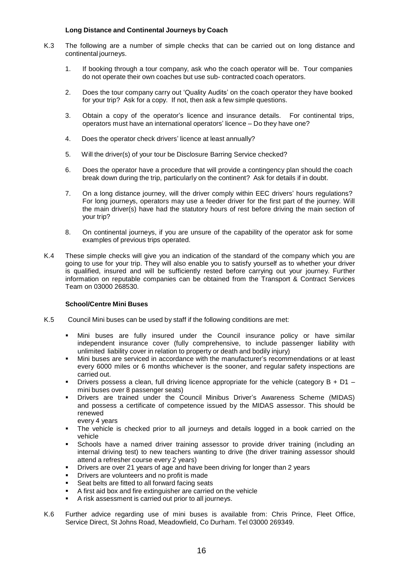#### **Long Distance and Continental Journeys by Coach**

- K.3 The following are a number of simple checks that can be carried out on long distance and continental journeys.
	- 1. If booking through a tour company, ask who the coach operator will be. Tour companies do not operate their own coaches but use sub- contracted coach operators.
	- 2. Does the tour company carry out 'Quality Audits' on the coach operator they have booked for your trip? Ask for a copy. If not, then ask a few simple questions.
	- 3. Obtain a copy of the operator's licence and insurance details. For continental trips, operators must have an international operators' licence – Do they have one?
	- 4. Does the operator check drivers' licence at least annually?
	- 5. Will the driver(s) of your tour be Disclosure Barring Service checked?
	- 6. Does the operator have a procedure that will provide a contingency plan should the coach break down during the trip, particularly on the continent? Ask for details if in doubt.
	- 7. On a long distance journey, will the driver comply within EEC drivers' hours regulations? For long journeys, operators may use a feeder driver for the first part of the journey. Will the main driver(s) have had the statutory hours of rest before driving the main section of your trip?
	- 8. On continental journeys, if you are unsure of the capability of the operator ask for some examples of previous trips operated.
- K.4 These simple checks will give you an indication of the standard of the company which you are going to use for your trip. They will also enable you to satisfy yourself as to whether your driver is qualified, insured and will be sufficiently rested before carrying out your journey. Further information on reputable companies can be obtained from the Transport & Contract Services Team on 03000 268530.

#### **School/Centre Mini Buses**

- K.5 Council Mini buses can be used by staff if the following conditions are met:
	- Mini buses are fully insured under the Council insurance policy or have similar independent insurance cover (fully comprehensive, to include passenger liability with unlimited liability cover in relation to property or death and bodily injury)
	- Mini buses are serviced in accordance with the manufacturer's recommendations or at least every 6000 miles or 6 months whichever is the sooner, and regular safety inspections are carried out.
	- **Drivers possess a clean, full driving licence appropriate for the vehicle (category B + D1** mini buses over 8 passenger seats)
	- Drivers are trained under the Council Minibus Driver's Awareness Scheme (MIDAS) and possess a certificate of competence issued by the MIDAS assessor. This should be renewed

every 4 years

- The vehicle is checked prior to all journeys and details logged in a book carried on the vehicle
- Schools have a named driver training assessor to provide driver training (including an internal driving test) to new teachers wanting to drive (the driver training assessor should attend a refresher course every 2 years)
- Drivers are over 21 years of age and have been driving for longer than 2 years
- Drivers are volunteers and no profit is made
- Seat belts are fitted to all forward facing seats
- A first aid box and fire extinguisher are carried on the vehicle
- A risk assessment is carried out prior to all journeys.
- K.6 Further advice regarding use of mini buses is available from: Chris Prince, Fleet Office, Service Direct, St Johns Road, Meadowfield, Co Durham. Tel 03000 269349.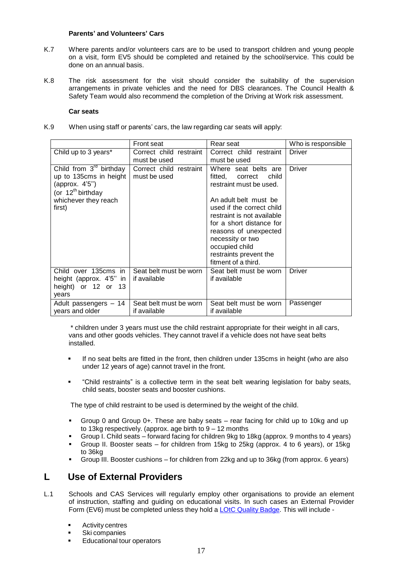#### **Parents' and Volunteers' Cars**

- K.7 Where parents and/or volunteers cars are to be used to transport children and young people on a visit, form EV5 should be completed and retained by the school/service. This could be done on an annual basis.
- K.8 The risk assessment for the visit should consider the suitability of the supervision arrangements in private vehicles and the need for DBS clearances. The Council Health & Safety Team would also recommend the completion of the Driving at Work risk assessment.

#### **Car seats**

K.9 When using staff or parents' cars, the law regarding car seats will apply:

|                                          | <b>Front seat</b>                      | Rear seat                              | Who is responsible |
|------------------------------------------|----------------------------------------|----------------------------------------|--------------------|
| Child up to 3 years*                     | Correct child restraint                | Correct child<br>restraint             | Driver             |
|                                          | must be used                           | must be used                           |                    |
| Child from $3rd$ birthday                | Correct child restraint                | Where seat belts are                   | <b>Driver</b>      |
| up to 135cms in height                   | must be used                           | fitted,<br>child<br>correct            |                    |
| (approx. 4'5")<br>(or $12^{th}$ birthday |                                        | restraint must be used.                |                    |
| whichever they reach                     |                                        | An adult belt must be                  |                    |
| first)                                   |                                        | used if the correct child              |                    |
|                                          |                                        | restraint is not available             |                    |
|                                          |                                        | for a short distance for               |                    |
|                                          |                                        | reasons of unexpected                  |                    |
|                                          |                                        | necessity or two<br>occupied child     |                    |
|                                          |                                        | restraints prevent the                 |                    |
|                                          |                                        | fitment of a third.                    |                    |
| Child over 135cms in                     | Seat belt must be worn                 | Seat belt must be worn                 | <b>Driver</b>      |
| height (approx. 4'5" in                  | if available                           | if available                           |                    |
| height) or 12 or 13                      |                                        |                                        |                    |
| years                                    |                                        |                                        |                    |
| Adult passengers - 14<br>years and older | Seat belt must be worn<br>if available | Seat belt must be worn<br>if available | Passenger          |

\* children under 3 years must use the child restraint appropriate for their weight in all cars, vans and other goods vehicles. They cannot travel if a vehicle does not have seat belts installed.

- If no seat belts are fitted in the front, then children under 135cms in height (who are also under 12 years of age) cannot travel in the front.
- "Child restraints" is a collective term in the seat belt wearing legislation for baby seats, child seats, booster seats and booster cushions.

The type of child restraint to be used is determined by the weight of the child.

- Group 0 and Group 0+. These are baby seats rear facing for child up to 10kg and up to 13kg respectively. (approx. age birth to 9 – 12 months
- Group I. Child seats forward facing for children 9kg to 18kg (approx. 9 months to 4 years)
- Group II. Booster seats for children from 15kg to 25kg (approx. 4 to 6 years), or 15kg to 36kg
- Group III. Booster cushions for children from 22kg and up to 36kg (from approx. 6 years)

### <span id="page-16-0"></span>**L Use of External Providers**

- L.1 Schools and CAS Services will regularly employ other organisations to provide an element of instruction, staffing and guiding on educational visits. In such cases an External Provider Form (EV6) must be completed unless they hold a LOtC Quality [Badge.](http://www.lotcqualitybadge.org.uk/) This will include -
	- Activity centres
	- Ski companies
	- Educational tour operators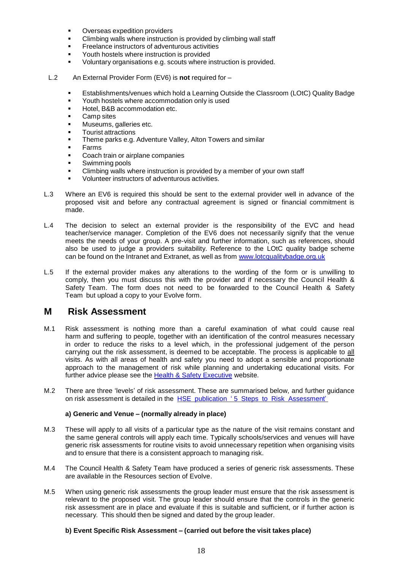- Overseas expedition providers
- Climbing walls where instruction is provided by climbing wall staff
- Freelance instructors of adventurous activities
- Youth hostels where instruction is provided
- Voluntary organisations e.g. scouts where instruction is provided.
- L.2 An External Provider Form (EV6) is **not** required for
	- Establishments/venues which hold a Learning Outside the Classroom (LOtC) Quality Badge
	- Youth hostels where accommodation only is used
	- Hotel, B&B accommodation etc.
	- Camp sites
	- Museums, galleries etc.
	- Tourist attractions
	- Theme parks e.g. Adventure Valley, Alton Towers and similar
	- Farms
	- Coach train or airplane companies
	- Swimming pools
	- Climbing walls where instruction is provided by a member of your own staff
	- Volunteer instructors of adventurous activities.
- L.3 Where an EV6 is required this should be sent to the external provider well in advance of the proposed visit and before any contractual agreement is signed or financial commitment is made.
- L.4 The decision to select an external provider is the responsibility of the EVC and head teacher/service manager. Completion of the EV6 does not necessarily signify that the venue meets the needs of your group. A pre-visit and further information, such as references, should also be used to judge a providers suitability. Reference to the LOtC quality badge scheme can be found on the Intranet and Extranet, as well as from [www.lotcqualitybadge.org.uk](http://lotcqualitybadge.org.uk/)
- L.5 If the external provider makes any alterations to the wording of the form or is unwilling to comply, then you must discuss this with the provider and if necessary the Council Health & Safety Team. The form does not need to be forwarded to the Council Health & Safety Team but upload a copy to your Evolve form.

### <span id="page-17-0"></span>**M Risk Assessment**

- M.1 Risk assessment is nothing more than a careful examination of what could cause real harm and suffering to people, together with an identification of the control measures necessary in order to reduce the risks to a level which, in the professional judgement of the person carrying out the risk assessment, is deemed to be acceptable. The process is applicable to all visits. As with all areas of health and safety you need to adopt a sensible and proportionate approach to the management of risk while planning and undertaking educational visits. For further advice please see the [Health & Safety Executive](http://www.hse.gov.uk/services/education/school-trips.htm) website.
- M.2 There are three 'levels' of risk assessment. These are summarised below, and further guidance on risk assessment is detailed in the HSE publication ' 5 Steps to Risk Assessment'

#### **a) Generic and Venue – (normally already in place)**

- M.3 These will apply to all visits of a particular type as the nature of the visit remains constant and the same general controls will apply each time. Typically schools/services and venues will have generic risk assessments for routine visits to avoid unnecessary repetition when organising visits and to ensure that there is a consistent approach to managing risk.
- M.4 The Council Health & Safety Team have produced a series of generic risk assessments. These are available in the Resources section of Evolve.
- M.5 When using generic risk assessments the group leader must ensure that the risk assessment is relevant to the proposed visit. The group leader should ensure that the controls in the generic risk assessment are in place and evaluate if this is suitable and sufficient, or if further action is necessary. This should then be signed and dated by the group leader.

#### **b) Event Specific Risk Assessment – (carried out before the visit takes place)**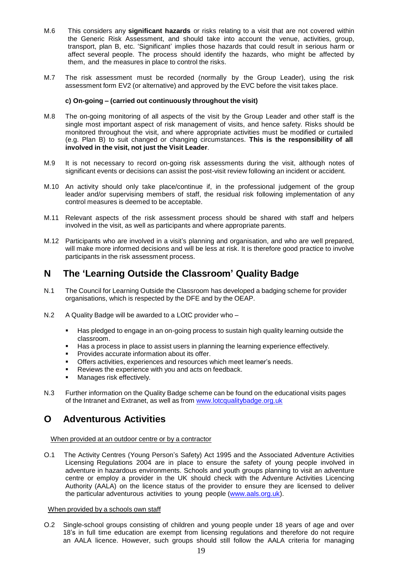- M.6 This considers any **significant hazards** or risks relating to a visit that are not covered within the Generic Risk Assessment, and should take into account the venue, activities, group, transport, plan B, etc. 'Significant' implies those hazards that could result in serious harm or affect several people. The process should identify the hazards, who might be affected by them, and the measures in place to control the risks.
- M.7 The risk assessment must be recorded (normally by the Group Leader), using the risk assessment form EV2 (or alternative) and approved by the EVC before the visit takes place.

#### **c) On-going – (carried out continuously throughout the visit)**

- M.8 The on-going monitoring of all aspects of the visit by the Group Leader and other staff is the single most important aspect of risk management of visits, and hence safety. Risks should be monitored throughout the visit, and where appropriate activities must be modified or curtailed (e.g. Plan B) to suit changed or changing circumstances. **This is the responsibility of all involved in the visit, not just the Visit Leader**.
- M.9 It is not necessary to record on-going risk assessments during the visit, although notes of significant events or decisions can assist the post-visit review following an incident or accident.
- M.10 An activity should only take place/continue if, in the professional judgement of the group leader and/or supervising members of staff, the residual risk following implementation of any control measures is deemed to be acceptable.
- M.11 Relevant aspects of the risk assessment process should be shared with staff and helpers involved in the visit, as well as participants and where appropriate parents.
- M.12 Participants who are involved in a visit's planning and organisation, and who are well prepared, will make more informed decisions and will be less at risk. It is therefore good practice to involve participants in the risk assessment process.

### <span id="page-18-0"></span>**N The 'Learning Outside the Classroom' Quality Badge**

- N.1 The Council for Learning Outside the Classroom has developed a badging scheme for provider organisations, which is respected by the DFE and by the OEAP.
- N.2 A Quality Badge will be awarded to a LOtC provider who
	- Has pledged to engage in an on-going process to sustain high quality learning outside the classroom.
	- Has a process in place to assist users in planning the learning experience effectively.
	- **Provides accurate information about its offer.**
	- Offers activities, experiences and resources which meet learner's needs.
	- Reviews the experience with you and acts on feedback.
	- **Manages risk effectively.**
- N.3 Further information on the Quality Badge scheme can be found on the educational visits pages of the Intranet and Extranet, as well as from [www.lotcqualitybadge.org.uk](http://www.lotcqualitybadge.org.uk/)

### <span id="page-18-1"></span>**O Adventurous Activities**

#### When provided at an outdoor centre or by a contractor

O.1 The Activity Centres (Young Person's Safety) Act 1995 and the Associated Adventure Activities Licensing Regulations 2004 are in place to ensure the safety of young people involved in adventure in hazardous environments. Schools and youth groups planning to visit an adventure centre or employ a provider in the UK should check with the Adventure Activities Licencing Authority (AALA) on the licence status of the provider to ensure they are licensed to deliver the particular adventurous activities to young people [\(www.aals.org.uk\)](http://www.aals.org.uk/).

#### When provided by a schools own staff

O.2 Single-school groups consisting of children and young people under 18 years of age and over 18's in full time education are exempt from licensing regulations and therefore do not require an AALA licence. However, such groups should still follow the AALA criteria for managing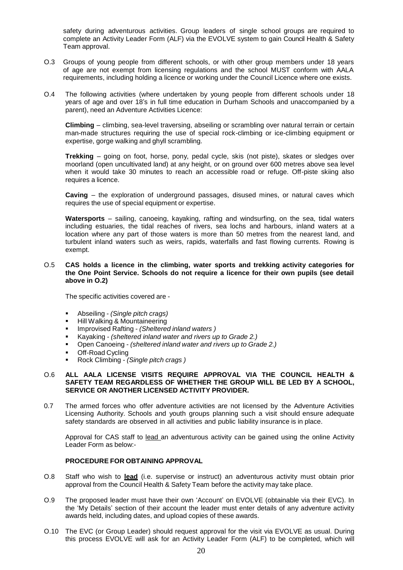safety during adventurous activities. Group leaders of single school groups are required to complete an Activity Leader Form (ALF) via the EVOLVE system to gain Council Health & Safety Team approval.

- O.3 Groups of young people from different schools, or with other group members under 18 years of age are not exempt from licensing regulations and the school MUST conform with AALA requirements, including holding a licence or working under the Council Licence where one exists.
- O.4 The following activities (where undertaken by young people from different schools under 18 years of age and over 18's in full time education in Durham Schools and unaccompanied by a parent), need an Adventure Activities Licence:

**Climbing** – climbing, sea-level traversing, abseiling or scrambling over natural terrain or certain man-made structures requiring the use of special rock-climbing or ice-climbing equipment or expertise, gorge walking and ghyll scrambling.

**Trekking** – going on foot, horse, pony, pedal cycle, skis (not piste), skates or sledges over moorland (open uncultivated land) at any height, or on ground over 600 metres above sea level when it would take 30 minutes to reach an accessible road or refuge. Off-piste skiing also requires a licence.

**Caving** – the exploration of underground passages, disused mines, or natural caves which requires the use of special equipment or expertise.

**Watersports** – sailing, canoeing, kayaking, rafting and windsurfing, on the sea, tidal waters including estuaries, the tidal reaches of rivers, sea lochs and harbours, inland waters at a location where any part of those waters is more than 50 metres from the nearest land, and turbulent inland waters such as weirs, rapids, waterfalls and fast flowing currents. Rowing is exempt.

O.5 **CAS holds a licence in the climbing, water sports and trekking activity categories for the One Point Service. Schools do not require a licence for their own pupils (see detail above in O.2)**

The specific activities covered are -

- Abseiling *- (Single pitch crags)*
- **Hill Walking & Mountaineering**
- Improvised Rafting *- (Sheltered inland waters )*
- Kayaking *- (sheltered inland water and rivers up to Grade 2.)*
- Open Canoeing *- (sheltered inland water and rivers up to Grade 2.)*
- **•** Off-Road Cycling
- Rock Climbing *- (Single pitch crags )*

#### O.6 **ALL AALA LICENSE VISITS REQUIRE APPROVAL VIA THE COUNCIL HEALTH & SAFETY TEAM REGARDLESS OF WHETHER THE GROUP WILL BE LED BY A SCHOOL, SERVICE OR ANOTHER LICENSED ACTIVITY PROVIDER.**

0.7 The armed forces who offer adventure activities are not licensed by the Adventure Activities Licensing Authority. Schools and youth groups planning such a visit should ensure adequate safety standards are observed in all activities and public liability insurance is in place.

Approval for CAS staff to lead an adventurous activity can be gained using the online Activity Leader Form as below:-

#### **PROCEDURE FOR OBTAINING APPROVAL**

- O.8 Staff who wish to **lead** (i.e. supervise or instruct) an adventurous activity must obtain prior approval from the Council Health & Safety Team before the activity may take place.
- O.9 The proposed leader must have their own 'Account' on EVOLVE (obtainable via their EVC). In the 'My Details' section of their account the leader must enter details of any adventure activity awards held, including dates, and upload copies of these awards.
- O.10 The EVC (or Group Leader) should request approval for the visit via EVOLVE as usual. During this process EVOLVE will ask for an Activity Leader Form (ALF) to be completed, which will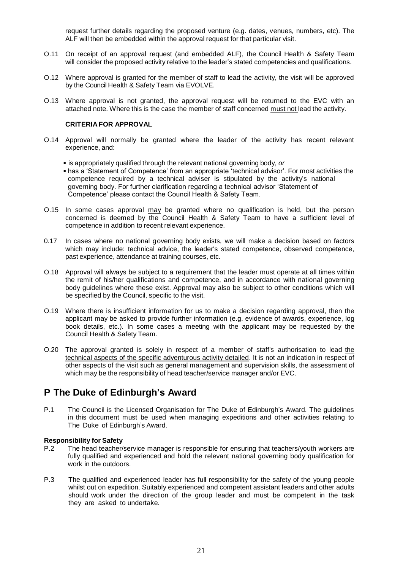request further details regarding the proposed venture (e.g. dates, venues, numbers, etc). The ALF will then be embedded within the approval request for that particular visit.

- O.11 On receipt of an approval request (and embedded ALF), the Council Health & Safety Team will consider the proposed activity relative to the leader's stated competencies and qualifications.
- O.12 Where approval is granted for the member of staff to lead the activity, the visit will be approved by the Council Health & Safety Team via EVOLVE.
- O.13 Where approval is not granted, the approval request will be returned to the EVC with an attached note. Where this is the case the member of staff concerned must not lead the activity.

#### **CRITERIA FOR APPROVAL**

- O.14 Approval will normally be granted where the leader of the activity has recent relevant experience, and:
	- is appropriately qualified through the relevant national governing body, *or*
	- has a 'Statement of Competence' from an appropriate 'technical advisor'. For most activities the competence required by a technical adviser is stipulated by the activity's national governing body. For further clarification regarding a technical advisor 'Statement of Competence' please contact the Council Health & Safety Team.
- O.15 In some cases approval may be granted where no qualification is held, but the person concerned is deemed by the Council Health & Safety Team to have a sufficient level of competence in addition to recent relevant experience.
- 0.17 In cases where no national governing body exists, we will make a decision based on factors which may include: technical advice, the leader's stated competence, observed competence, past experience, attendance at training courses, etc.
- O.18 Approval will always be subject to a requirement that the leader must operate at all times within the remit of his/her qualifications and competence, and in accordance with national governing body guidelines where these exist. Approval may also be subject to other conditions which will be specified by the Council, specific to the visit.
- O.19 Where there is insufficient information for us to make a decision regarding approval, then the applicant may be asked to provide further information (e.g. evidence of awards, experience, log book details, etc.). In some cases a meeting with the applicant may be requested by the Council Health & Safety Team.
- O.20 The approval granted is solely in respect of a member of staff's authorisation to lead the technical aspects of the specific adventurous activity detailed. It is not an indication in respect of other aspects of the visit such as general management and supervision skills, the assessment of which may be the responsibility of head teacher/service manager and/or EVC.

### <span id="page-20-0"></span>**P The Duke of Edinburgh's Award**

P.1 The Council is the Licensed Organisation for The Duke of Edinburgh's Award. The guidelines in this document must be used when managing expeditions and other activities relating to The Duke of Edinburgh's Award.

#### **Responsibility for Safety**

- P.2 The head teacher/service manager is responsible for ensuring that teachers/youth workers are fully qualified and experienced and hold the relevant national governing body qualification for work in the outdoors.
- P.3 The qualified and experienced leader has full responsibility for the safety of the young people whilst out on expedition. Suitably experienced and competent assistant leaders and other adults should work under the direction of the group leader and must be competent in the task they are asked to undertake.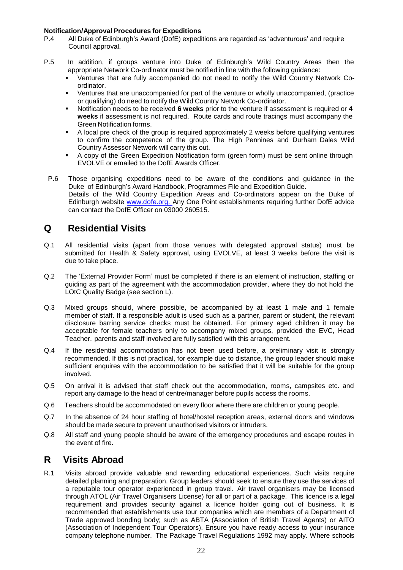# **Notification/Approval Procedures for Expeditions**

- All Duke of Edinburgh's Award (DofE) expeditions are regarded as 'adventurous' and require Council approval.
- P.5 In addition, if groups venture into Duke of Edinburgh's Wild Country Areas then the appropriate Network Co-ordinator must be notified in line with the following guidance:
	- Ventures that are fully accompanied do not need to notify the Wild Country Network Coordinator.
	- Ventures that are unaccompanied for part of the venture or wholly unaccompanied, (practice or qualifying) do need to notify the Wild Country Network Co-ordinator.
	- Notification needs to be received **6 weeks** prior to the venture if assessment is required or **4 weeks** if assessment is not required. Route cards and route tracings must accompany the Green Notification forms.
	- A local pre check of the group is required approximately 2 weeks before qualifying ventures to confirm the competence of the group. The High Pennines and Durham Dales Wild Country Assessor Network will carry this out.
	- A copy of the Green Expedition Notification form (green form) must be sent online through EVOLVE or emailed to the DofE Awards Officer.
- P.6 Those organising expeditions need to be aware of the conditions and guidance in the Duke of Edinburgh's Award Handbook, Programmes File and Expedition Guide. Details of the Wild Country Expedition Areas and Co-ordinators appear on the Duke of Edinburgh website www.dofe.org. Any One Point establishments requiring further DofE advice can contact the DofE Officer on 03000 260515.

### <span id="page-21-0"></span>**Q Residential Visits**

- Q.1 All residential visits (apart from those venues with delegated approval status) must be submitted for Health & Safety approval, using EVOLVE, at least 3 weeks before the visit is due to take place.
- Q.2 The 'External Provider Form' must be completed if there is an element of instruction, staffing or guiding as part of the agreement with the accommodation provider, where they do not hold the LOtC Quality Badge (see section L).
- Q.3 Mixed groups should, where possible, be accompanied by at least 1 male and 1 female member of staff. If a responsible adult is used such as a partner, parent or student, the relevant disclosure barring service checks must be obtained. For primary aged children it may be acceptable for female teachers only to accompany mixed groups, provided the EVC, Head Teacher, parents and staff involved are fully satisfied with this arrangement.
- Q.4 If the residential accommodation has not been used before, a preliminary visit is strongly recommended. If this is not practical, for example due to distance, the group leader should make sufficient enquires with the accommodation to be satisfied that it will be suitable for the group involved.
- Q.5 On arrival it is advised that staff check out the accommodation, rooms, campsites etc. and report any damage to the head of centre/manager before pupils access the rooms.
- Q.6 Teachers should be accommodated on every floor where there are children or young people.
- Q.7 In the absence of 24 hour staffing of hotel/hostel reception areas, external doors and windows should be made secure to prevent unauthorised visitors or intruders.
- Q.8 All staff and young people should be aware of the emergency procedures and escape routes in the event of fire.

### <span id="page-21-1"></span>**R Visits Abroad**

R.1 Visits abroad provide valuable and rewarding educational experiences. Such visits require detailed planning and preparation. Group leaders should seek to ensure they use the services of a reputable tour operator experienced in group travel. Air travel organisers may be licensed through ATOL (Air Travel Organisers License) for all or part of a package. This licence is a legal requirement and provides security against a licence holder going out of business. It is recommended that establishments use tour companies which are members of a Department of Trade approved bonding body; such as ABTA (Association of British Travel Agents) or AITO (Association of Independent Tour Operators). Ensure you have ready access to your insurance company telephone number. The Package Travel Regulations 1992 may apply. Where schools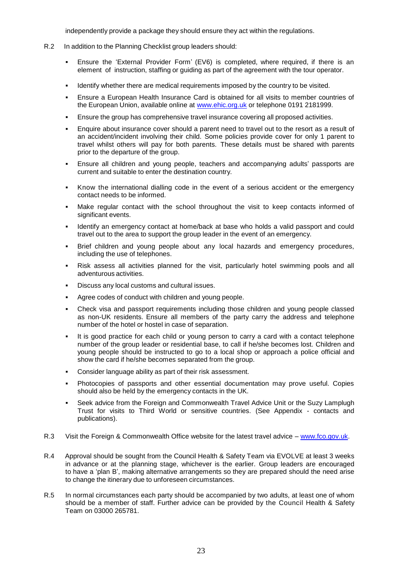independently provide a package they should ensure they act within the regulations.

- R.2 In addition to the Planning Checklist group leaders should:
	- Ensure the 'External Provider Form' (EV6) is completed, where required, if there is an element of instruction, staffing or guiding as part of the agreement with the tour operator.
	- Identify whether there are medical requirements imposed by the country to be visited.
	- Ensure a European Health Insurance Card is obtained for all visits to member countries of the European Union, available online at [www.ehic.org.uk](http://www.ehic.org.uk/) or telephone 0191 2181999.
	- Ensure the group has comprehensive travel insurance covering all proposed activities.
	- Enquire about insurance cover should a parent need to travel out to the resort as a result of an accident/incident involving their child. Some policies provide cover for only 1 parent to travel whilst others will pay for both parents. These details must be shared with parents prior to the departure of the group.
	- Ensure all children and young people, teachers and accompanying adults' passports are current and suitable to enter the destination country.
	- Know the international dialling code in the event of a serious accident or the emergency contact needs to be informed.
	- Make regular contact with the school throughout the visit to keep contacts informed of significant events.
	- Identify an emergency contact at home/back at base who holds a valid passport and could travel out to the area to support the group leader in the event of an emergency.
	- Brief children and young people about any local hazards and emergency procedures, including the use of telephones.
	- Risk assess all activities planned for the visit, particularly hotel swimming pools and all adventurous activities.
	- Discuss any local customs and cultural issues.
	- Agree codes of conduct with children and young people.
	- Check visa and passport requirements including those children and young people classed as non-UK residents. Ensure all members of the party carry the address and telephone number of the hotel or hostel in case of separation.
	- It is good practice for each child or young person to carry a card with a contact telephone number of the group leader or residential base, to call if he/she becomes lost. Children and young people should be instructed to go to a local shop or approach a police official and show the card if he/she becomes separated from the group.
	- Consider language ability as part of their risk assessment.
	- Photocopies of passports and other essential documentation may prove useful. Copies should also be held by the emergency contacts in the UK.
	- Seek advice from the Foreign and Commonwealth Travel Advice Unit or the Suzy Lamplugh Trust for visits to Third World or sensitive countries. (See Appendix - contacts and publications).
- R.3 Visit the Foreign & Commonwealth Office website for the latest travel advice [www.fco.gov.uk.](http://www.fco.gov.uk/)
- R.4 Approval should be sought from the Council Health & Safety Team via EVOLVE at least 3 weeks in advance or at the planning stage, whichever is the earlier. Group leaders are encouraged to have a 'plan B', making alternative arrangements so they are prepared should the need arise to change the itinerary due to unforeseen circumstances.
- R.5 In normal circumstances each party should be accompanied by two adults, at least one of whom should be a member of staff. Further advice can be provided by the Council Health & Safety Team on 03000 265781.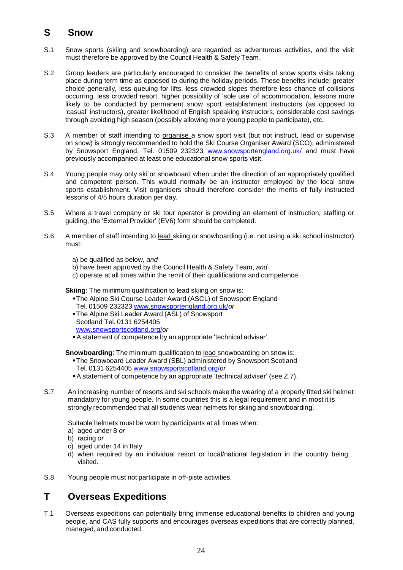### <span id="page-23-0"></span>**S Snow**

- S.1 Snow sports (skiing and snowboarding) are regarded as adventurous activities, and the visit must therefore be approved by the Council Health & Safety Team.
- S.2 Group leaders are particularly encouraged to consider the benefits of snow sports visits taking place during term time as opposed to during the holiday periods. These benefits include: greater choice generally, less queuing for lifts, less crowded slopes therefore less chance of collisions occurring, less crowded resort, higher possibility of 'sole use' of accommodation, lessons more likely to be conducted by permanent snow sport establishment instructors (as opposed to 'casual' instructors), greater likelihood of English speaking instructors, considerable cost savings through avoiding high season (possibly allowing more young people to participate), etc.
- S.3 A member of staff intending to **organise** a snow sport visit (but not instruct, lead or supervise on snow) is strongly recommended to hold the Ski Course Organiser Award (SCO), administered by Snowsport England. Tel. 01509 232323 [www.snowsportengland.org.uk/](http://www.snowsportengland.org.uk/) and must have previously accompanied at least one educational snow sports visit.
- S.4 Young people may only ski or snowboard when under the direction of an appropriately qualified and competent person. This would normally be an instructor employed by the local snow sports establishment. Visit organisers should therefore consider the merits of fully instructed lessons of 4/5 hours duration per day.
- S.5 Where a travel company or ski tour operator is providing an element of instruction, staffing or guiding, the 'External Provider' (EV6) form should be completed.
- S.6 A member of staff intending to lead skiing or snowboarding (i.e. not using a ski school instructor) must:
	- a) be qualified as below, *and*
	- b) have been approved by the Council Health & Safety Team, *and*
	- c) operate at all times within the remit of their qualifications and competence.

**Skiing:** The minimum qualification to lead skiing on snow is:

- The Alpine Ski Course Leader Award (ASCL) of Snowsport England Tel. 01509 232323 [www.snowsportengland.org.uk/](http://www.snowsportengland.org.uk/)*or*
- The Alpine Ski Leader Award (ASL) of Snowsport Scotland Tel. 0131 6254405 [www.snowsportscotland.org/](http://www.snowsportscotland.org/)*or*
- A statement of competence by an appropriate 'technical adviser'.

**Snowboarding**: The minimum qualification to lead snowboarding on snow is:

- The Snowboard Leader Award (SBL) administered by Snowsport Scotland Tel. 0131 6254405 [www.snowsportscotland.org/](http://www.snowsportscotland.org/)*or*
- A statement of competence by an appropriate 'technical adviser' (see Z.7).
- S.7 An increasing number of resorts and ski schools make the wearing of a properly fitted ski helmet mandatory for young people. In some countries this is a legal requirement and in most it is strongly recommended that all students wear helmets for skiing and snowboarding.

Suitable helmets must be worn by participants at all times when:

- a) aged under 8 *or*
- b) racing *or*
- c) aged under 14 in Italy
- d) when required by an individual resort or local/national legislation in the country being visited.
- S.8 Young people must not participate in off-piste activities.

# <span id="page-23-1"></span>**T Overseas Expeditions**

T.1 Overseas expeditions can potentially bring immense educational benefits to children and young people, and CAS fully supports and encourages overseas expeditions that are correctly planned, managed, and conducted.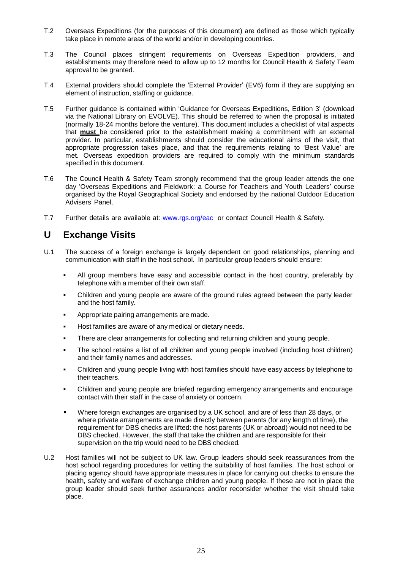- T.2 Overseas Expeditions (for the purposes of this document) are defined as those which typically take place in remote areas of the world and/or in developing countries.
- T.3 The Council places stringent requirements on Overseas Expedition providers, and establishments may therefore need to allow up to 12 months for Council Health & Safety Team approval to be granted.
- T.4 External providers should complete the 'External Provider' (EV6) form if they are supplying an element of instruction, staffing or guidance.
- T.5 Further guidance is contained within 'Guidance for Overseas Expeditions, Edition 3' (download via the National Library on EVOLVE). This should be referred to when the proposal is initiated (normally 18-24 months before the venture). This document includes a checklist of vital aspects that **must** be considered prior to the establishment making a commitment with an external provider. In particular, establishments should consider the educational aims of the visit, that appropriate progression takes place, and that the requirements relating to 'Best Value' are met. Overseas expedition providers are required to comply with the minimum standards specified in this document.
- T.6 The Council Health & Safety Team strongly recommend that the group leader attends the one day 'Overseas Expeditions and Fieldwork: a Course for Teachers and Youth Leaders' course organised by the Royal Geographical Society and endorsed by the national Outdoor Education Advisers' Panel.
- T.7 Further details are available at: [www.rgs.org/eac](http://www.rgs.org/eac)\_or contact Council Health & Safety.

## <span id="page-24-0"></span>**U Exchange Visits**

- U.1 The success of a foreign exchange is largely dependent on good relationships, planning and communication with staff in the host school. In particular group leaders should ensure:
	- All group members have easy and accessible contact in the host country, preferably by telephone with a member of their own staff.
	- Children and young people are aware of the ground rules agreed between the party leader and the host family.
	- Appropriate pairing arrangements are made.
	- Host families are aware of any medical or dietary needs.
	- There are clear arrangements for collecting and returning children and young people.
	- The school retains a list of all children and young people involved (including host children) and their family names and addresses.
	- Children and young people living with host families should have easy access by telephone to their teachers.
	- Children and young people are briefed regarding emergency arrangements and encourage contact with their staff in the case of anxiety or concern.
	- Where foreign exchanges are organised by a UK school, and are of less than 28 days, or where private arrangements are made directly between parents (for any length of time), the requirement for DBS checks are lifted: the host parents (UK or abroad) would not need to be DBS checked. However, the staff that take the children and are responsible for their supervision on the trip would need to be DBS checked*.*
- U.2 Host families will not be subject to UK law. Group leaders should seek reassurances from the host school regarding procedures for vetting the suitability of host families. The host school or placing agency should have appropriate measures in place for carrying out checks to ensure the health, safety and welfare of exchange children and young people. If these are not in place the group leader should seek further assurances and/or reconsider whether the visit should take place.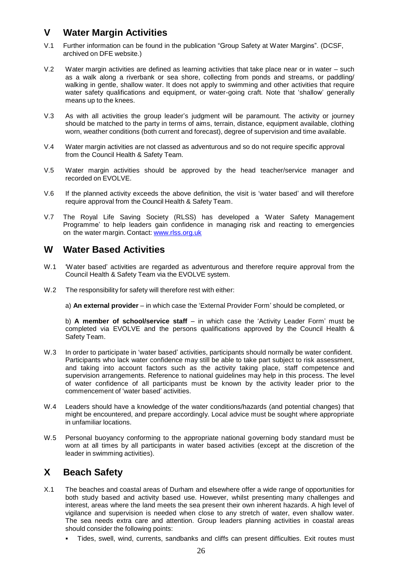# <span id="page-25-0"></span>**V Water Margin Activities**

- V.1 Further information can be found in the publication "Group Safety at Water Margins". (DCSF, archived on DFE website.)
- V.2 Water margin activities are defined as learning activities that take place near or in water such as a walk along a riverbank or sea shore, collecting from ponds and streams, or paddling/ walking in gentle, shallow water. It does not apply to swimming and other activities that require water safety qualifications and equipment, or water-going craft. Note that 'shallow' generally means up to the knees.
- V.3 As with all activities the group leader's judgment will be paramount. The activity or journey should be matched to the party in terms of aims, terrain, distance, equipment available, clothing worn, weather conditions (both current and forecast), degree of supervision and time available.
- V.4 Water margin activities are not classed as adventurous and so do not require specific approval from the Council Health & Safety Team.
- V.5 Water margin activities should be approved by the head teacher/service manager and recorded on EVOLVE.
- V.6 If the planned activity exceeds the above definition, the visit is 'water based' and will therefore require approval from the Council Health & Safety Team.
- V.7 The Royal Life Saving Society (RLSS) has developed a 'Water Safety Management Programme' to help leaders gain confidence in managing risk and reacting to emergencies on the water margin. Contact: [www.rlss.org.uk](http://www.rlss.org.uk/index.php?option=com_joomdragdrop&view=custom&Itemid=417)

### <span id="page-25-1"></span>**W Water Based Activities**

- W.1 Water based' activities are regarded as adventurous and therefore require approval from the Council Health & Safety Team via the EVOLVE system.
- W.2 The responsibility for safety will therefore rest with either:

a) **An external provider** – in which case the 'External Provider Form' should be completed, or

b) **A member of school/service staff** – in which case the 'Activity Leader Form' must be completed via EVOLVE and the persons qualifications approved by the Council Health & Safety Team.

- W.3 In order to participate in 'water based' activities, participants should normally be water confident. Participants who lack water confidence may still be able to take part subject to risk assessment, and taking into account factors such as the activity taking place, staff competence and supervision arrangements. Reference to national guidelines may help in this process. The level of water confidence of all participants must be known by the activity leader prior to the commencement of 'water based' activities.
- W.4 Leaders should have a knowledge of the water conditions/hazards (and potential changes) that might be encountered, and prepare accordingly. Local advice must be sought where appropriate in unfamiliar locations.
- W.5 Personal buoyancy conforming to the appropriate national governing body standard must be worn at all times by all participants in water based activities (except at the discretion of the leader in swimming activities).

# <span id="page-25-2"></span>**X Beach Safety**

- X.1 The beaches and coastal areas of Durham and elsewhere offer a wide range of opportunities for both study based and activity based use. However, whilst presenting many challenges and interest, areas where the land meets the sea present their own inherent hazards. A high level of vigilance and supervision is needed when close to any stretch of water, even shallow water. The sea needs extra care and attention. Group leaders planning activities in coastal areas should consider the following points:
	- Tides, swell, wind, currents, sandbanks and cliffs can present difficulties. Exit routes must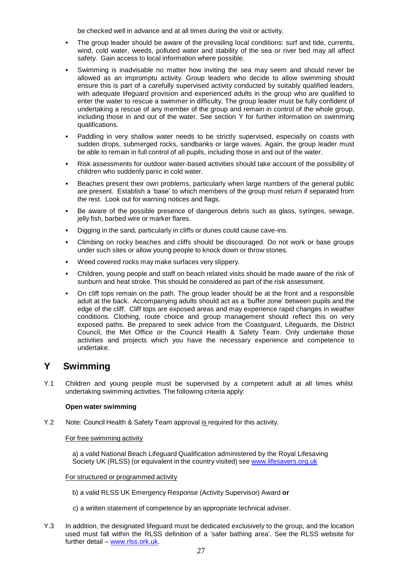be checked well in advance and at all times during the visit or activity.

- The group leader should be aware of the prevailing local conditions: surf and tide, currents, wind, cold water, weeds, polluted water and stability of the sea or river bed may all affect safety. Gain access to local information where possible.
- Swimming is inadvisable no matter how inviting the sea may seem and should never be allowed as an impromptu activity. Group leaders who decide to allow swimming should ensure this is part of a carefully supervised activity conducted by suitably qualified leaders, with adequate lifeguard provision and experienced adults in the group who are qualified to enter the water to rescue a swimmer in difficulty. The group leader must be fully confident of undertaking a rescue of any member of the group and remain in control of the whole group, including those in and out of the water. See section Y for further information on swimming qualifications.
- Paddling in very shallow water needs to be strictly supervised, especially on coasts with sudden drops, submerged rocks, sandbanks or large waves. Again, the group leader must be able to remain in full control of all pupils, including those in and out of the water.
- Risk assessments for outdoor water-based activities should take account of the possibility of children who suddenly panic in cold water.
- Beaches present their own problems, particularly when large numbers of the general public are present. Establish a 'base' to which members of the group must return if separated from the rest. Look out for warning notices and flags.
- Be aware of the possible presence of dangerous debris such as glass, syringes, sewage, jelly fish, barbed wire or marker flares.
- Digging in the sand, particularly in cliffs or dunes could cause cave-ins.
- Climbing on rocky beaches and cliffs should be discouraged. Do not work or base groups under such sites or allow young people to knock down or throw stones.
- Weed covered rocks may make surfaces very slippery.
- Children, young people and staff on beach related visits should be made aware of the risk of sunburn and heat stroke. This should be considered as part of the risk assessment.
- On cliff tops remain on the path. The group leader should be at the front and a responsible adult at the back. Accompanying adults should act as a 'buffer zone' between pupils and the edge of the cliff. Cliff tops are exposed areas and may experience rapid changes in weather conditions. Clothing, route choice and group management should reflect this on very exposed paths. Be prepared to seek advice from the Coastguard, Lifeguards, the District Council, the Met Office or the Council Health & Safety Team. Only undertake those activities and projects which you have the necessary experience and competence to undertake.

### <span id="page-26-0"></span>**Y Swimming**

Y.1 Children and young people must be supervised by a competent adult at all times whilst undertaking swimming activities. The following criteria apply:

#### **Open water swimming**

Y.2 Note: Council Health & Safety Team approval is required for this activity.

#### For free swimming activity

a) a valid National Beach Lifeguard Qualification administered by the Royal Lifesaving Society UK (RLSS) (or equivalent in the country visited) see [www.lifesavers.org.uk](http://www.lifesavers.org.uk/index.php?option=com_joomdragdrop&view=custom&Itemid=417)

#### For structured or programmed activity

- b) a valid RLSS UK Emergency Response (Activity Supervisor) Award **or**
- c) a written statement of competence by an appropriate technical adviser.
- Y.3 In addition, the designated lifeguard must be dedicated exclusively to the group, and the location used must fall within the RLSS definition of a 'safer bathing area'. See the RLSS website for further detail – [www.rlss.ork.uk.](http://www.rlss.ork.uk/)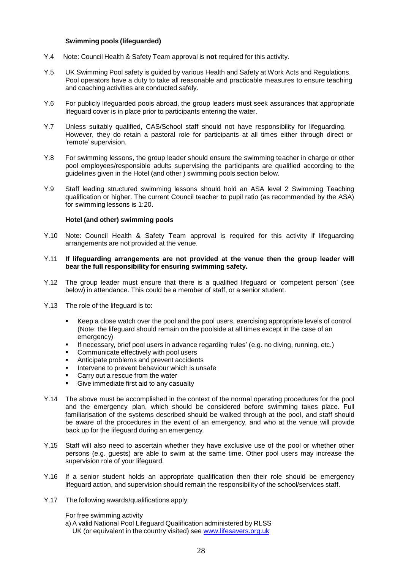#### **Swimming pools (lifeguarded)**

- Y.4 Note: Council Health & Safety Team approval is **not** required for this activity.
- Y.5 UK Swimming Pool safety is guided by various Health and Safety at Work Acts and Regulations. Pool operators have a duty to take all reasonable and practicable measures to ensure teaching and coaching activities are conducted safely.
- Y.6 For publicly lifeguarded pools abroad, the group leaders must seek assurances that appropriate lifeguard cover is in place prior to participants entering the water.
- Y.7 Unless suitably qualified, CAS/School staff should not have responsibility for lifeguarding. However, they do retain a pastoral role for participants at all times either through direct or 'remote' supervision.
- Y.8 For swimming lessons, the group leader should ensure the swimming teacher in charge or other pool employees/responsible adults supervising the participants are qualified according to the guidelines given in the Hotel (and other ) swimming pools section below.
- Y.9 Staff leading structured swimming lessons should hold an ASA level 2 Swimming Teaching qualification or higher. The current Council teacher to pupil ratio (as recommended by the ASA) for swimming lessons is 1:20.

#### **Hotel (and other) swimming pools**

- Y.10 Note: Council Health & Safety Team approval is required for this activity if lifeguarding arrangements are not provided at the venue.
- Y.11 **If lifeguarding arrangements are not provided at the venue then the group leader will bear the full responsibility for ensuring swimming safety.**
- Y.12 The group leader must ensure that there is a qualified lifeguard or 'competent person' (see below) in attendance. This could be a member of staff, or a senior student.
- Y.13 The role of the lifeguard is to:
	- Keep a close watch over the pool and the pool users, exercising appropriate levels of control (Note: the lifeguard should remain on the poolside at all times except in the case of an emergency)
	- If necessary, brief pool users in advance regarding 'rules' (e.g. no diving, running, etc.)
	- **Communicate effectively with pool users**
	- Anticipate problems and prevent accidents
	- Intervene to prevent behaviour which is unsafe<br>  $\blacksquare$  Carry out a rescue from the water
	- Carry out a rescue from the water<br>■ Give immediate first aid to any case
	- Give immediate first aid to any casualty
- Y.14 The above must be accomplished in the context of the normal operating procedures for the pool and the emergency plan, which should be considered before swimming takes place. Full familiarisation of the systems described should be walked through at the pool, and staff should be aware of the procedures in the event of an emergency, and who at the venue will provide back up for the lifeguard during an emergency.
- Y.15 Staff will also need to ascertain whether they have exclusive use of the pool or whether other persons (e.g. guests) are able to swim at the same time. Other pool users may increase the supervision role of your lifeguard.
- Y.16 If a senior student holds an appropriate qualification then their role should be emergency lifeguard action, and supervision should remain the responsibility of the school/services staff.
- Y.17 The following awards/qualifications apply:

For free swimming activity

a) A valid National Pool Lifeguard Qualification administered by RLSS UK (or equivalent in the country visited) see [www.lifesavers.org.uk](http://www.lifesavers.org.uk/index.php?option=com_joomdragdrop&view=custom&Itemid=417)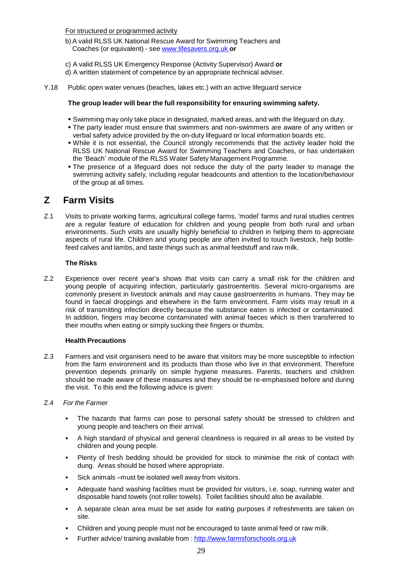For structured or programmed activity

b) A valid RLSS UK National Rescue Award for Swimming Teachers and Coaches (or equivalent) - see [www.lifesavers.org.uk](http://www.lifesavers.org.uk/index.php?option=com_joomdragdrop&view=custom&Itemid=417) **or**

- c) A valid RLSS UK Emergency Response (Activity Supervisor) Award **or**
- d) A written statement of competence by an appropriate technical adviser.
- Y.18 Public open water venues (beaches, lakes etc.) with an active lifeguard service

#### **The group leader will bear the full responsibility for ensuring swimming safety.**

- Swimming may only take place in designated, marked areas, and with the lifeguard on duty.
- The party leader must ensure that swimmers and non-swimmers are aware of any written or verbal safety advice provided by the on-duty lifeguard or local information boards etc.
- While it is not essential, the Council strongly recommends that the activity leader hold the RLSS UK National Rescue Award for Swimming Teachers and Coaches, or has undertaken the 'Beach' module of the RLSS Water Safety Management Programme.
- The presence of a lifeguard does not reduce the duty of the party leader to manage the swimming activity safely, including regular headcounts and attention to the location/behaviour of the group at all times.

### <span id="page-28-0"></span>**Z Farm Visits**

Z.1 Visits to private working farms, agricultural college farms, 'model' farms and rural studies centres are a regular feature of education for children and young people from both rural and urban environments. Such visits are usually highly beneficial to children in helping them to appreciate aspects of rural life. Children and young people are often invited to touch livestock, help bottlefeed calves and lambs, and taste things such as animal feedstuff and raw milk.

#### **The Risks**

Z.2 Experience over recent year's shows that visits can carry a small risk for the children and young people of acquiring infection, particularly gastroenteritis. Several micro-organisms are commonly present in livestock animals and may cause gastroenteritis in humans. They may be found in faecal droppings and elsewhere in the farm environment. Farm visits may result in a risk of transmitting infection directly because the substance eaten is infected or contaminated. In addition, fingers may become contaminated with animal faeces which is then transferred to their mouths when eating or simply sucking their fingers or thumbs.

#### **Health Precautions**

Z.3 Farmers and visit organisers need to be aware that visitors may be more susceptible to infection from the farm environment and its products than those who live in that environment. Therefore prevention depends primarily on simple hygiene measures. Parents, teachers and children should be made aware of these measures and they should be re-emphasised before and during the visit. To this end the following advice is given:

#### Z.4 *For the Farmer*

- The hazards that farms can pose to personal safety should be stressed to children and young people and teachers on their arrival.
- A high standard of physical and general cleanliness is required in all areas to be visited by children and young people.
- Plenty of fresh bedding should be provided for stock to minimise the risk of contact with dung. Areas should be hosed where appropriate.
- Sick animals –must be isolated well away from visitors.
- Adequate hand washing facilities must be provided for visitors, i.e. soap, running water and disposable hand towels (not roller towels). Toilet facilities should also be available.
- A separate clean area must be set aside for eating purposes if refreshments are taken on site.
- Children and young people must not be encouraged to taste animal feed or raw milk.
- Further advice/ training available from : [http://www.farmsforschools.org.uk](http://www.farmsforschools.org.uk/ffsinformation/cevas.htm)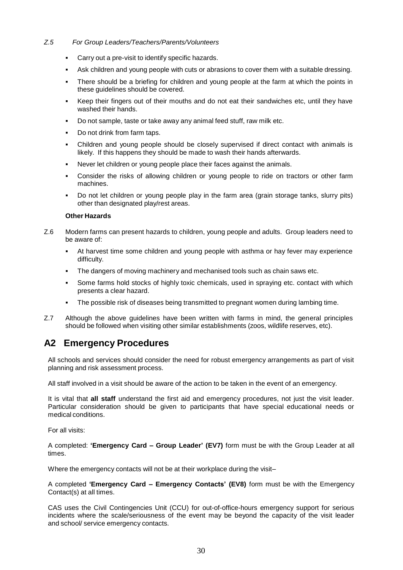#### *Z.5 For Group Leaders/Teachers/Parents/Volunteers*

- Carry out a pre-visit to identify specific hazards.
- Ask children and young people with cuts or abrasions to cover them with a suitable dressing.
- There should be a briefing for children and young people at the farm at which the points in these guidelines should be covered.
- Keep their fingers out of their mouths and do not eat their sandwiches etc, until they have washed their hands.
- Do not sample, taste or take away any animal feed stuff, raw milk etc.
- Do not drink from farm taps.
- Children and young people should be closely supervised if direct contact with animals is likely. If this happens they should be made to wash their hands afterwards.
- Never let children or young people place their faces against the animals.
- Consider the risks of allowing children or young people to ride on tractors or other farm machines.
- Do not let children or young people play in the farm area (grain storage tanks, slurry pits) other than designated play/rest areas.

#### **Other Hazards**

- Z.6 Modern farms can present hazards to children, young people and adults. Group leaders need to be aware of:
	- At harvest time some children and young people with asthma or hay fever may experience difficulty.
	- The dangers of moving machinery and mechanised tools such as chain saws etc.
	- Some farms hold stocks of highly toxic chemicals, used in spraying etc. contact with which presents a clear hazard.
	- The possible risk of diseases being transmitted to pregnant women during lambing time.
- Z.7 Although the above guidelines have been written with farms in mind, the general principles should be followed when visiting other similar establishments (zoos, wildlife reserves, etc).

### <span id="page-29-0"></span>**A2 Emergency Procedures**

All schools and services should consider the need for robust emergency arrangements as part of visit planning and risk assessment process.

All staff involved in a visit should be aware of the action to be taken in the event of an emergency.

It is vital that **all staff** understand the first aid and emergency procedures, not just the visit leader. Particular consideration should be given to participants that have special educational needs or medical conditions.

For all visits:

A completed: **'Emergency Card – Group Leader' (EV7)** form must be with the Group Leader at all times.

Where the emergency contacts will not be at their workplace during the visit–

A completed **'Emergency Card – Emergency Contacts' (EV8)** form must be with the Emergency Contact(s) at all times.

<span id="page-29-1"></span>CAS uses the Civil Contingencies Unit (CCU) for out-of-office-hours emergency support for serious incidents where the scale/seriousness of the event may be beyond the capacity of the visit leader and school/ service emergency contacts.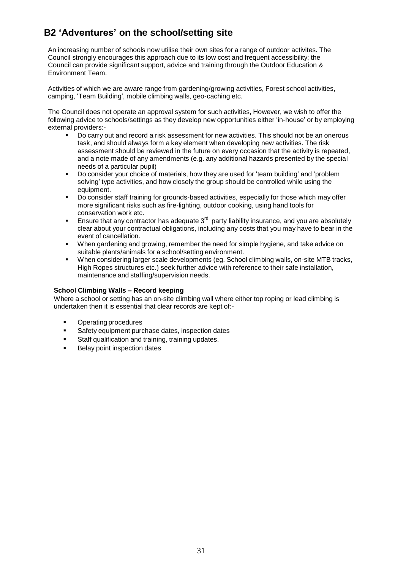# **B2 'Adventures' on the school/setting site**

An increasing number of schools now utilise their own sites for a range of outdoor activites. The Council strongly encourages this approach due to its low cost and frequent accessibility; the Council can provide significant support, advice and training through the Outdoor Education & Environment Team.

Activities of which we are aware range from gardening/growing activities, Forest school activities, camping, 'Team Building', mobile climbing walls, geo-caching etc.

The Council does not operate an approval system for such activities, However, we wish to offer the following advice to schools/settings as they develop new opportunities either 'in-house' or by employing external providers:-

- Do carry out and record a risk assessment for new activities. This should not be an onerous task, and should always form a key element when developing new activities. The risk assessment should be reviewed in the future on every occasion that the activity is repeated, and a note made of any amendments (e.g. any additional hazards presented by the special needs of a particular pupil)
- Do consider your choice of materials, how they are used for 'team building' and 'problem solving' type activities, and how closely the group should be controlled while using the equipment.
- Do consider staff training for grounds-based activities, especially for those which may offer more significant risks such as fire-lighting, outdoor cooking, using hand tools for conservation work etc.
- **Ensure that any contractor has adequate 3<sup>rd</sup> party liability insurance, and you are absolutely** clear about your contractual obligations, including any costs that you may have to bear in the event of cancellation.
- When gardening and growing, remember the need for simple hygiene, and take advice on suitable plants/animals for a school/setting environment.
- When considering larger scale developments (eg. School climbing walls, on-site MTB tracks, High Ropes structures etc.) seek further advice with reference to their safe installation, maintenance and staffing/supervision needs.

#### **School Climbing Walls – Record keeping**

Where a school or setting has an on-site climbing wall where either top roping or lead climbing is undertaken then it is essential that clear records are kept of:-

- **•** Operating procedures
- Safety equipment purchase dates, inspection dates
- **Staff qualification and training, training updates.**
- Belay point inspection dates